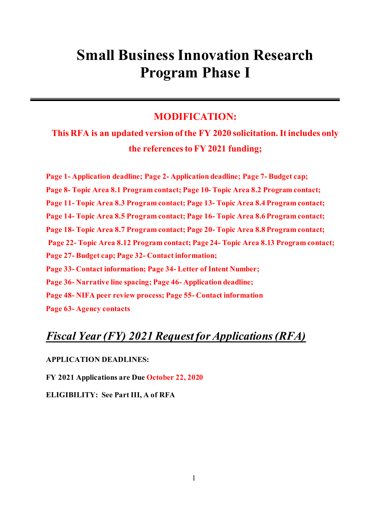# **Small Business Innovation Research Program Phase I**

# **MODIFICATION:**

**This RFA is an updated version of the FY 2020 solicitation. It includes only the references to FY 2021 funding;** 

**Page 1- Application deadline; Page 2- Application deadline; Page 7- Budget cap; Page 8- Topic Area 8.1 Program contact; Page 10- Topic Area 8.2 Program contact; Page 11- Topic Area 8.3 Program contact; Page 13- Topic Area 8.4 Program contact; Page 14- Topic Area 8.5 Program contact; Page 16- Topic Area 8.6 Program contact; Page 18- Topic Area 8.7 Program contact; Page 20- Topic Area 8.8 Program contact; Page 22- Topic Area 8.12 Program contact; Page 24- Topic Area 8.13 Program contact; Page 27- Budget cap; Page 32- Contact information; Page 33- Contact information; Page 34- Letter of Intent Number; Page 36- Narrative line spacing; Page 46- Application deadline; Page 48- NIFA peer review process; Page 55- Contact information Page 63- Agency contacts**

# *Fiscal Year (FY) 2021 Request for Applications(RFA)*

#### **APPLICATION DEADLINES:**

**FY 2021 Applications are Due October 22, 2020**

**ELIGIBILITY: See Part III, A of RFA**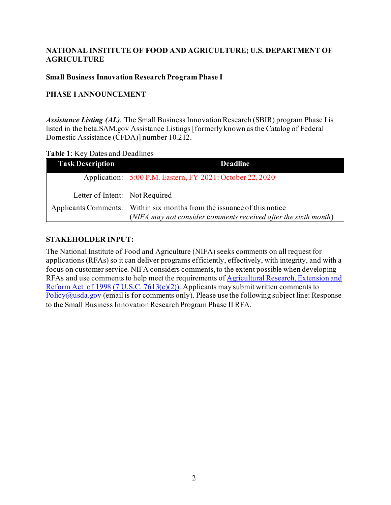## **NATIONAL INSTITUTE OF FOOD AND AGRICULTURE; U.S. DEPARTMENT OF AGRICULTURE**

#### **Small Business Innovation Research Program Phase I**

## **PHASE I ANNOUNCEMENT**

*Assistance Listing (AL).* The Small Business Innovation Research (SBIR) program Phase I is listed in the beta.SAM.gov Assistance Listings [formerly known as the Catalog of Federal Domestic Assistance (CFDA)] number 10.212.

#### <span id="page-1-0"></span>**Table 1**: Key Dates and Deadlines

| <b>Task Description</b>        | <b>Deadline</b>                                                         |
|--------------------------------|-------------------------------------------------------------------------|
|                                | Application: 5:00 P.M. Eastern, FY 2021: October 22, 2020               |
| Letter of Intent: Not Required |                                                                         |
|                                | Applicants Comments: Within six months from the issuance of this notice |
|                                | (NIFA may not consider comments received after the sixth month)         |

#### **STAKEHOLDER INPUT:**

The National Institute of Food and Agriculture (NIFA) seeks comments on all request for applications (RFAs) so it can deliver programs efficiently, effectively, with integrity, and with a focus on customer service. NIFA considers comments, to the extent possible when developing RFAs and use comments to help meet the requirements o[f Agricultural Research, Extension and](https://uscode.house.gov/statviewer.htm?volume=112&page=527)  [Reform Act of 1998](https://uscode.house.gov/statviewer.htm?volume=112&page=527) [\(7 U.S.C. 7613\(c\)\(2\)\).](https://uscode.house.gov/view.xhtml?req=(title:7%20section:7613%20edition:prelim)%20OR%20(granuleid:USC-prelim-title7-section7613)&f=treesort&edition=prelim&num=0&jumpTo=true) Applicants may submit written comments to  $Policy@usda.gov$  (email is for comments only). Please use the following subject line: Response to the Small Business Innovation Research Program Phase II RFA.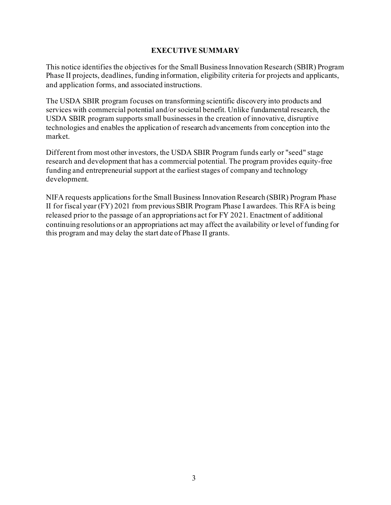#### **EXECUTIVE SUMMARY**

This notice identifies the objectives for the Small Business Innovation Research (SBIR) Program Phase II projects, deadlines, funding information, eligibility criteria for projects and applicants, and application forms, and associated instructions.

The USDA SBIR program focuses on transforming scientific discovery into products and services with commercial potential and/or societal benefit. Unlike fundamental research, the USDA SBIR program supports small businesses in the creation of innovative, disruptive technologies and enables the application of research advancements from conception into the market.

Different from most other investors, the USDA SBIR Program funds early or "seed" stage research and development that has a commercial potential. The program provides equity-free funding and entrepreneurial support at the earliest stages of company and technology development.

NIFA requests applications for the Small Business Innovation Research (SBIR) Program Phase II for fiscal year (FY) 2021 from previous SBIR Program Phase I awardees. This RFA is being released prior to the passage of an appropriations act for FY 2021. Enactment of additional continuing resolutions or an appropriations act may affect the availability or level of funding for this program and may delay the start date of Phase II grants.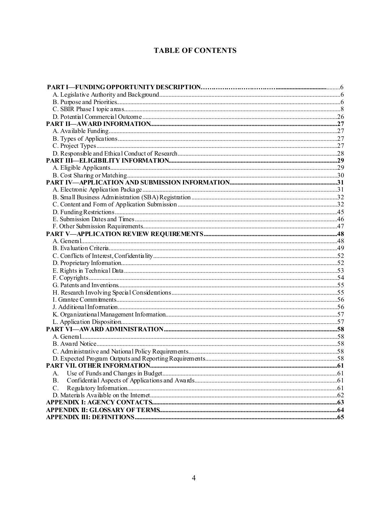# **TABLE OF CONTENTS**

| А.    |  |
|-------|--|
| B.    |  |
| $C$ . |  |
|       |  |
|       |  |
|       |  |
|       |  |
|       |  |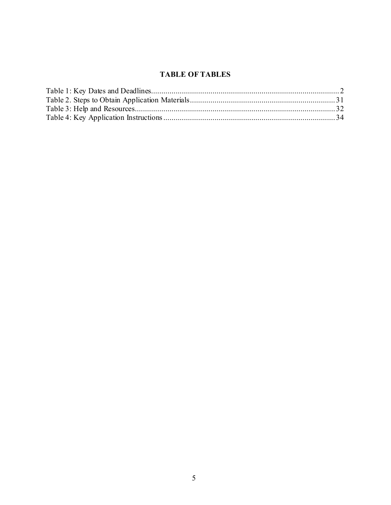# **TABLE OF TABLES**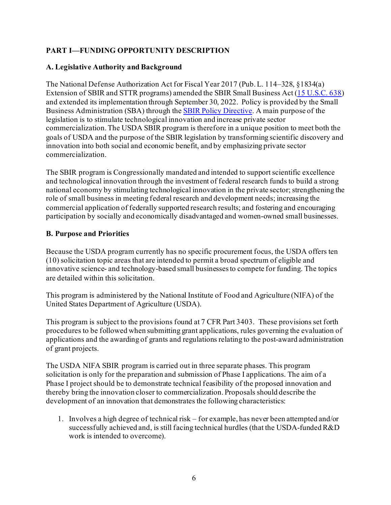# <span id="page-5-0"></span>**PART I—FUNDING OPPORTUNITY DESCRIPTION**

## <span id="page-5-1"></span>**A. Legislative Authority and Background**

The National Defense Authorization Act for Fiscal Year 2017 (Pub. L. 114–328, §1834(a) Extension of SBIR and STTR programs) amended the SBIR Small Business Act [\(15 U.S.C. 638\)](https://uscode.house.gov/view.xhtml?req=(title:15%20section:638%20edition:prelim)%20OR%20(granuleid:USC-prelim-title15-section638)&f=treesort&edition=prelim&num=0&jumpTo=true) and extended its implementation through September 30, 2022. Policy is provided by the Small Business Administration (SBA) through th[e SBIR Policy Directive.](https://www.sbir.gov/sites/default/files/SBIR-STTR_Policy_Directive_including_Preamble_2019.pdf) A main purpose of the legislation is to stimulate technological innovation and increase private sector commercialization. The USDA SBIR program is therefore in a unique position to meet both the goals of USDA and the purpose of the SBIR legislation by transforming scientific discovery and innovation into both social and economic benefit, and by emphasizing private sector commercialization.

The SBIR program is Congressionally mandated and intended to support scientific excellence and technological innovation through the investment of federal research funds to build a strong national economy by stimulating technological innovation in the private sector; strengthening the role of small business in meeting federal research and development needs; increasing the commercial application of federally supported research results; and fostering and encouraging participation by socially and economically disadvantaged and women-owned small businesses.

## <span id="page-5-2"></span>**B. Purpose and Priorities**

Because the USDA program currently has no specific procurement focus, the USDA offers ten (10) solicitation topic areas that are intended to permit a broad spectrum of eligible and innovative science- and technology-based small businesses to compete for funding. The topics are detailed within this solicitation.

This program is administered by the National Institute of Food and Agriculture (NIFA) of the United States Department of Agriculture (USDA).

This program is subject to the provisions found at 7 CFR Part 3403. These provisions set forth procedures to be followed when submitting grant applications, rules governing the evaluation of applications and the awarding of grants and regulations relating to the post-award administration of grant projects.

The USDA NIFA SBIR program is carried out in three separate phases. This program solicitation is only for the preparation and submission of Phase I applications. The aim of a Phase I project should be to demonstrate technical feasibility of the proposed innovation and thereby bring the innovation closer to commercialization. Proposals should describe the development of an innovation that demonstrates the following characteristics:

1. Involves a high degree of technical risk – for example, has never been attempted and/or successfully achieved and, is still facing technical hurdles (that the USDA-funded R&D work is intended to overcome).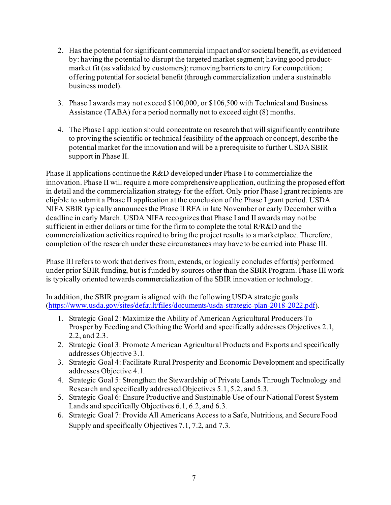- 2. Has the potential for significant commercial impact and/or societal benefit, as evidenced by: having the potential to disrupt the targeted market segment; having good productmarket fit (as validated by customers); removing barriers to entry for competition; offering potential for societal benefit (through commercialization under a sustainable business model).
- 3. Phase I awards may not exceed \$100,000, or \$106,500 with Technical and Business Assistance (TABA) for a period normally not to exceed eight (8) months.
- 4. The Phase I application should concentrate on research that will significantly contribute to proving the scientific or technical feasibility of the approach or concept, describe the potential market for the innovation and will be a prerequisite to further USDA SBIR support in Phase II.

Phase II applications continue the R&D developed under Phase I to commercialize the innovation. Phase II will require a more comprehensive application, outlining the proposed effort in detail and the commercialization strategy for the effort. Only prior Phase I grant recipients are eligible to submit a Phase II application at the conclusion of the Phase I grant period. USDA NIFA SBIR typically announces the Phase II RFA in late November or early December with a deadline in early March. USDA NIFA recognizes that Phase I and II awards may not be sufficient in either dollars or time for the firm to complete the total R/R&D and the commercialization activities required to bring the project results to a marketplace. Therefore, completion of the research under these circumstances may have to be carried into Phase III.

Phase III refers to work that derives from, extends, or logically concludes effort(s) performed under prior SBIR funding, but is funded by sources other than the SBIR Program. Phase III work is typically oriented towards commercialization of the SBIR innovation or technology.

In addition, the SBIR program is aligned with the following USDA strategic goals [\(https://www.usda.gov/sites/default/files/documents/usda-strategic-plan-2018-2022.pdf\)](https://www.usda.gov/sites/default/files/documents/usda-strategic-plan-2018-2022.pdf).

- 1. Strategic Goal 2: Maximize the Ability of American Agricultural Producers To Prosper by Feeding and Clothing the World and specifically addresses Objectives 2.1, 2.2, and 2.3.
- 2. Strategic Goal 3: Promote American Agricultural Products and Exports and specifically addresses Objective 3.1.
- 3. Strategic Goal 4: Facilitate Rural Prosperity and Economic Development and specifically addresses Objective 4.1.
- 4. Strategic Goal 5: Strengthen the Stewardship of Private Lands Through Technology and Research and specifically addressed Objectives 5.1, 5.2, and 5.3.
- 5. Strategic Goal 6: Ensure Productive and Sustainable Use of our National Forest System Lands and specifically Objectives 6.1, 6.2, and 6.3.
- 6. Strategic Goal 7: Provide All Americans Access to a Safe, Nutritious, and Secure Food Supply and specifically Objectives 7.1, 7.2, and 7.3.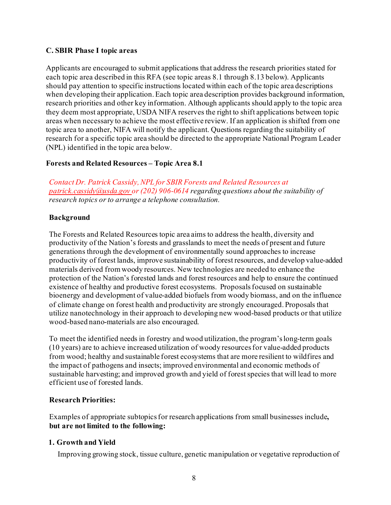#### <span id="page-7-0"></span>**C. SBIR Phase I topic areas**

Applicants are encouraged to submit applications that address the research priorities stated for each topic area described in this RFA (see topic areas 8.1 through 8.13 below). Applicants should pay attention to specific instructions located within each of the topic area descriptions when developing their application. Each topic area description provides background information, research priorities and other key information. Although applicants should apply to the topic area they deem most appropriate, USDA NIFA reserves the right to shift applications between topic areas when necessary to achieve the most effective review. If an application is shifted from one topic area to another, NIFA will notify the applicant. Questions regarding the suitability of research for a specific topic area should be directed to the appropriate National Program Leader (NPL) identified in the topic area below.

## **Forests and Related Resources – Topic Area 8.1**

*Contact Dr. Patrick Cassidy, NPL for SBIR Forests and Related Resources at [patrick.cassidy@usda.gov](mailto:patrick.cassidy@usda.gov) or (202) 906-0614 regarding questions about the suitability of research topics or to arrange a telephone consultation.*

#### **Background**

The Forests and Related Resources topic area aims to address the health, diversity and productivity of the Nation's forests and grasslands to meet the needs of present and future generations through the development of environmentally sound approaches to increase productivity of forest lands, improve sustainability of forest resources, and develop value-added materials derived from woody resources. New technologies are needed to enhance the protection of the Nation's forested lands and forest resources and help to ensure the continued existence of healthy and productive forest ecosystems. Proposals focused on sustainable bioenergy and development of value-added biofuels from woody biomass, and on the influence of climate change on forest health and productivity are strongly encouraged. Proposals that utilize nanotechnology in their approach to developing new wood-based products or that utilize wood-based nano-materials are also encouraged.

To meet the identified needs in forestry and wood utilization, the program'slong-term goals (10 years) are to achieve increased utilization of woody resourcesfor value-added products from wood; healthy and sustainable forest ecosystems that are more resilient to wildfires and the impact of pathogens and insects; improved environmental and economic methods of sustainable harvesting; and improved growth and yield of forest species that will lead to more efficient use of forested lands.

#### **Research Priorities:**

Examples of appropriate subtopicsfor research applications from small businesses include**, but are not limited to the following:**

## **1. Growth and Yield**

Improving growing stock, tissue culture, genetic manipulation or vegetative reproduction of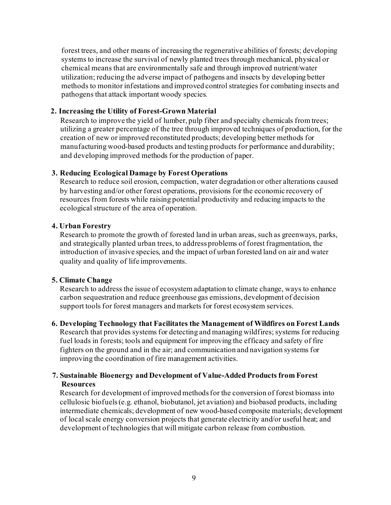forest trees, and other means of increasing the regenerative abilities of forests; developing systems to increase the survival of newly planted trees through mechanical, physical or chemical means that are environmentally safe and through improved nutrient/water utilization; reducing the adverse impact of pathogens and insects by developing better methods to monitor infestations and improved control strategies for combating insects and pathogens that attack important woody species.

#### **2. Increasing the Utility of Forest-Grown Material**

Research to improve the yield of lumber, pulp fiber and specialty chemicals from trees; utilizing a greater percentage of the tree through improved techniques of production, for the creation of new or improved reconstituted products; developing better methods for manufacturing wood-based products and testing products for performance and durability; and developing improved methods for the production of paper.

#### **3. Reducing Ecological Damage by Forest Operations**

Research to reduce soil erosion, compaction, water degradation or other alterations caused by harvesting and/or other forest operations, provisions for the economic recovery of resources from forests while raising potential productivity and reducing impacts to the ecological structure of the area of operation.

#### **4. Urban Forestry**

Research to promote the growth of forested land in urban areas, such as greenways, parks, and strategically planted urban trees, to address problems of forest fragmentation, the introduction of invasive species, and the impact of urban forested land on air and water quality and quality of life improvements.

## **5. Climate Change**

Research to address the issue of ecosystemadaptation to climate change, ways to enhance carbon sequestration and reduce greenhouse gas emissions, development of decision support tools for forest managers and markets for forest ecosystem services.

#### **6. Developing Technology that Facilitates the Management of Wildfires on Forest Lands**

Research that provides systems for detecting and managing wildfires; systems for reducing fuel loads in forests; tools and equipment for improving the efficacy and safety of fire fighters on the ground and in the air; and communication and navigation systems for improving the coordination of fire management activities.

## **7. Sustainable Bioenergy and Development of Value-Added Products from Forest Resources**

Research for development of improved methods for the conversion of forest biomass into cellulosic biofuels(e.g. ethanol, biobutanol, jet aviation) and biobased products, including intermediate chemicals; development of new wood-based composite materials; development of localscale energy conversion projects that generate electricity and/or useful heat; and development of technologies that will mitigate carbon release from combustion.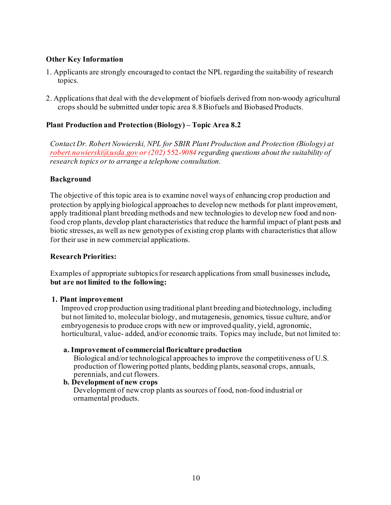#### **Other Key Information**

- 1. Applicants are strongly encouraged to contact the NPL regarding the suitability of research topics.
- 2. Applications that deal with the development of biofuels derived from non-woody agricultural crops should be submitted under topic area 8.8 Biofuels and Biobased Products.

## **Plant Production and Protection (Biology) – Topic Area 8.2**

*Contact Dr. Robert Nowierski, NPL for SBIR Plant Production and Protection (Biology) at [robert.nowierski@usda.gov](mailto:robert.nowierski@usda.gov) or (202)* 552-*9084 regarding questions about the suitability of research topics or to arrange a telephone consultation.*

#### **Background**

The objective of this topic area is to examine novel ways of enhancing crop production and protection by applying biological approaches to develop new methods for plant improvement, apply traditional plant breeding methods and new technologies to develop new food and nonfood crop plants, develop plant characteristics that reduce the harmful impact of plant pests and biotic stresses, as well as new genotypes of existing crop plants with characteristics that allow for their use in new commercial applications.

#### **Research Priorities:**

Examples of appropriate subtopicsfor research applications from small businesses include**, but are not limited to the following:**

#### **1. Plant improvement**

Improved crop production using traditional plant breeding and biotechnology, including but not limited to, molecular biology, and mutagenesis, genomics, tissue culture, and/or embryogenesis to produce crops with new or improved quality, yield, agronomic, horticultural, value- added, and/or economic traits. Topics may include, but not limited to:

#### **a. Improvement of commercial floriculture production**

Biological and/or technological approaches to improve the competitiveness of U.S. production of flowering potted plants, bedding plants, seasonal crops, annuals, perennials, and cut flowers.

#### **b. Development of new crops**

Development of new crop plants as sources of food, non-food industrial or ornamental products.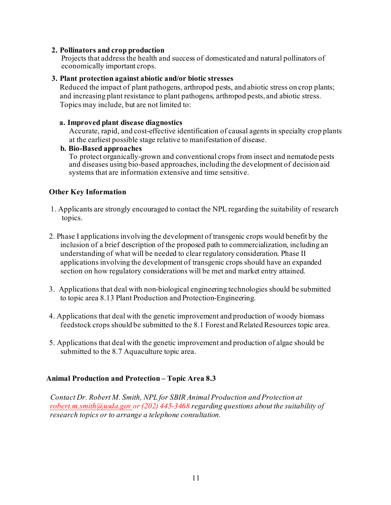#### **2. Pollinators and crop production**

Projects that address the health and success of domesticated and natural pollinators of economically important crops.

#### **3. Plant protection against abiotic and/or biotic stresses**

Reduced the impact of plant pathogens, arthropod pests, and abiotic stress on crop plants; and increasing plant resistance to plant pathogens, arthropod pests, and abiotic stress. Topics may include, but are not limited to:

#### **a. Improved plant disease diagnostics**

Accurate, rapid, and cost-effective identification of causal agents in specialty crop plants at the earliest possible stage relative to manifestation of disease.

#### **b. Bio-Based approaches**

To protect organically-grown and conventional crops from insect and nematode pests and diseases using bio-based approaches, including the development of decision aid systems that are information extensive and time sensitive.

#### **Other Key Information**

- 1. Applicants are strongly encouraged to contact the NPL regarding the suitability of research topics.
- 2. Phase I applications involving the development of transgenic crops would benefit by the inclusion of a brief description of the proposed path to commercialization, including an understanding of what will be needed to clear regulatory consideration. Phase II applications involving the development of transgenic crops should have an expanded section on how regulatory considerations will be met and market entry attained.
- 3. Applications that deal with non-biological engineering technologies should be submitted to topic area 8.13 Plant Production and Protection-Engineering.
- 4. Applications that deal with the genetic improvement and production of woody biomass feedstock crops should be submitted to the 8.1 Forest and Related Resources topic area.
- 5. Applications that deal with the genetic improvement and production of algae should be submitted to the 8.7 Aquaculture topic area.

#### **Animal Production and Protection – Topic Area 8.3**

*Contact Dr. Robert M. Smith, NPL for SBIR Animal Production and Protection at [robert.m.smith@usda.gov](mailto:robert.m.smith@usda.gov) or (202) 445-3468 regarding questions about the suitability of research topics or to arrange a telephone consultation.*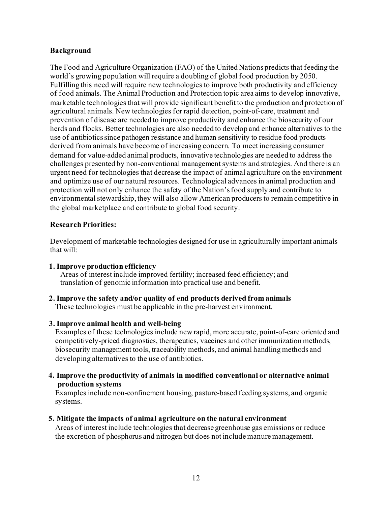#### **Background**

The Food and Agriculture Organization (FAO) of the United Nations predicts that feeding the world's growing population will require a doubling of global food production by 2050. Fulfilling this need will require new technologies to improve both productivity and efficiency of food animals. The Animal Production and Protection topic area aims to develop innovative, marketable technologies that will provide significant benefit to the production and protection of agricultural animals. New technologies for rapid detection, point-of-care, treatment and prevention of disease are needed to improve productivity and enhance the biosecurity of our herds and flocks. Better technologies are also needed to develop and enhance alternatives to the use of antibiotics since pathogen resistance and human sensitivity to residue food products derived from animals have become of increasing concern. To meet increasing consumer demand for value-added animal products, innovative technologies are needed to address the challenges presented by non-conventional management systems and strategies. And there is an urgent need for technologies that decrease the impact of animal agriculture on the environment and optimize use of our natural resources. Technological advances in animal production and protection will not only enhance the safety of the Nation'sfood supply and contribute to environmental stewardship, they will also allow American producers to remain competitive in the global marketplace and contribute to global food security.

#### **Research Priorities:**

Development of marketable technologies designed for use in agriculturally important animals that will:

## **1. Improve production efficiency**

Areas of interest include improved fertility; increased feed efficiency; and translation of genomic information into practical use and benefit.

#### **2. Improve the safety and/or quality of end products derived from animals** These technologies must be applicable in the pre-harvest environment.

## **3. Improve animal health and well-being**

Examples of these technologies include new rapid, more accurate, point-of-care oriented and competitively-priced diagnostics, therapeutics, vaccines and other immunization methods, biosecurity management tools, traceability methods, and animal handling methods and developing alternatives to the use of antibiotics.

**4. Improve the productivity of animals in modified conventional or alternative animal production systems** 

Examples include non-confinement housing, pasture-based feeding systems, and organic systems.

#### **5. Mitigate the impacts of animal agriculture on the natural environment**

Areas of interest include technologies that decrease greenhouse gas emissions or reduce the excretion of phosphorus and nitrogen but does not include manure management.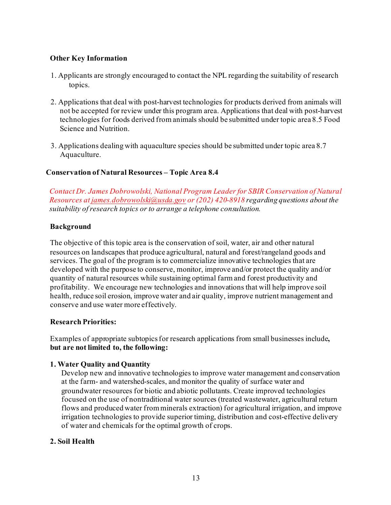#### **Other Key Information**

- 1. Applicants are strongly encouraged to contact the NPL regarding the suitability of research topics.
- 2. Applications that deal with post-harvest technologies for products derived from animals will not be accepted for review under this program area. Applications that deal with post-harvest technologies for foods derived from animals should be submitted under topic area 8.5 Food Science and Nutrition.
- 3. Applications dealing with aquaculture species should be submitted under topic area 8.7 Aquaculture.

## **Conservation of Natural Resources – Topic Area 8.4**

*Contact Dr. James Dobrowolski, National Program Leader for SBIR Conservation of Natural Resources at [james.dobrowolski@usda.gov](mailto:james.dobrowolski@usda.gov) or (202) 420-8918 regarding questions about the suitability of research topics or to arrange a telephone consultation.*

#### **Background**

The objective of this topic area is the conservation of soil, water, air and other natural resources on landscapes that produce agricultural, natural and forest/rangeland goods and services. The goal of the program is to commercialize innovative technologies that are developed with the purpose to conserve, monitor, improve and/or protect the quality and/or quantity of natural resources while sustaining optimal farm and forest productivity and profitability. We encourage new technologies and innovations that will help improve soil health, reduce soil erosion, improve water and air quality, improve nutrient management and conserve and use water more effectively.

#### **Research Priorities:**

Examples of appropriate subtopicsfor research applications from small businesses include**, but are not limited to, the following:**

#### **1. Water Quality and Quantity**

Develop new and innovative technologies to improve water management and conservation at the farm- and watershed-scales, and monitor the quality of surface water and groundwater resources for biotic and abiotic pollutants. Create improved technologies focused on the use of nontraditional water sources (treated wastewater, agricultural return flows and produced water from minerals extraction) for agricultural irrigation, and improve irrigation technologies to provide superior timing, distribution and cost-effective delivery of water and chemicals for the optimal growth of crops.

#### **2. Soil Health**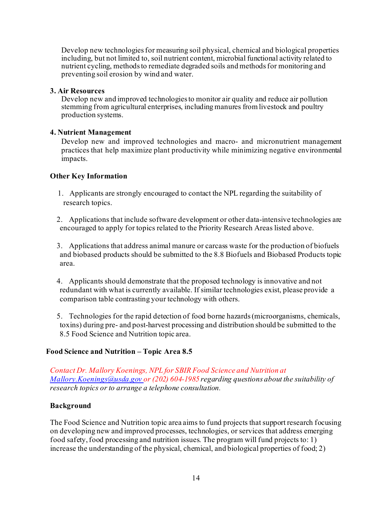Develop new technologiesfor measuring soil physical, chemical and biological properties including, but not limited to, soil nutrient content, microbial functional activity related to nutrient cycling, methods to remediate degraded soils and methods for monitoring and preventing soil erosion by wind and water.

#### **3. Air Resources**

Develop new and improved technologies to monitor air quality and reduce air pollution stemming from agricultural enterprises, including manures from livestock and poultry production systems.

## **4. Nutrient Management**

Develop new and improved technologies and macro- and micronutrient management practices that help maximize plant productivity while minimizing negative environmental impacts.

# **Other Key Information**

- 1. Applicants are strongly encouraged to contact the NPL regarding the suitability of research topics.
- 2. Applications that include software development or other data-intensive technologies are encouraged to apply for topics related to the Priority Research Areas listed above.

3. Applications that address animal manure or carcass waste for the production of biofuels and biobased products should be submitted to the 8.8 Biofuels and Biobased Products topic area.

4. Applicants should demonstrate that the proposed technology is innovative and not redundant with what is currently available. If similar technologies exist, please provide a comparison table contrasting your technology with others.

5. Technologies for the rapid detection of food borne hazards (microorganisms, chemicals, toxins) during pre- and post-harvest processing and distribution should be submitted to the 8.5 Food Science and Nutrition topic area.

## **Food Science and Nutrition – Topic Area 8.5**

*Contact Dr. Mallory Koenings, NPL for SBIR Food Science and Nutrition at [Mallory.Koenings@usda.gov](mailto:Mallory.Koenings@usda.gov) or (202) 604-1985 regarding questions about the suitability of research topics or to arrange a telephone consultation.*

## **Background**

The Food Science and Nutrition topic area aims to fund projects that support research focusing on developing new and improved processes, technologies, or services that address emerging food safety, food processing and nutrition issues. The program will fund projects to: 1) increase the understanding of the physical, chemical, and biological properties of food; 2)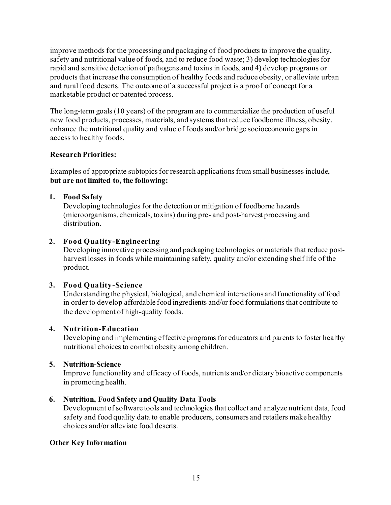improve methods for the processing and packaging of food products to improve the quality, safety and nutritional value of foods, and to reduce food waste; 3) develop technologies for rapid and sensitive detection of pathogens and toxins in foods, and 4) develop programs or products that increase the consumption of healthy foods and reduce obesity, or alleviate urban and rural food deserts. The outcome of a successful project is a proof of concept for a marketable product or patented process.

The long-term goals (10 years) of the program are to commercialize the production of useful new food products, processes, materials, and systems that reduce foodborne illness, obesity, enhance the nutritional quality and value of foods and/or bridge socioeconomic gaps in access to healthy foods.

## **Research Priorities:**

Examples of appropriate subtopicsfor research applications from small businesses include, **but are not limited to, the following:**

## **1. Food Safety**

Developing technologies for the detection or mitigation of foodborne hazards (microorganisms, chemicals, toxins) during pre- and post-harvest processing and distribution.

# **2. Food Quality-Engineering**

Developing innovative processing and packaging technologies or materials that reduce postharvest losses in foods while maintaining safety, quality and/or extending shelf life of the product.

## **3. Food Quality-Science**

Understanding the physical, biological, and chemical interactions and functionality of food in order to develop affordable food ingredients and/or food formulations that contribute to the development of high-quality foods.

## **4. Nutrition-Education**

Developing and implementing effective programs for educators and parents to foster healthy nutritional choices to combat obesity among children.

## **5. Nutrition-Science**

Improve functionality and efficacy of foods, nutrients and/or dietary bioactive components in promoting health.

# **6. Nutrition, Food Safety and Quality Data Tools**

Development of software tools and technologies that collect and analyze nutrient data, food safety and food quality data to enable producers, consumers and retailers make healthy choices and/or alleviate food deserts.

## **Other Key Information**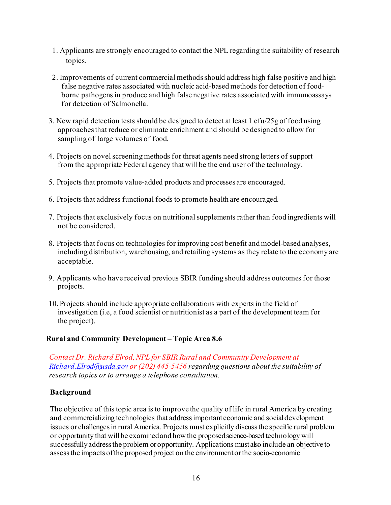- 1. Applicants are strongly encouraged to contact the NPL regarding the suitability of research topics.
- 2. Improvements of current commercial methodsshould address high false positive and high false negative rates associated with nucleic acid-based methods for detection of foodborne pathogens in produce and high false negative rates associated with immunoassays for detection of Salmonella.
- 3. New rapid detection tests should be designed to detect at least 1 cfu/25g of food using approachesthat reduce or eliminate enrichment and should be designed to allow for sampling of large volumes of food.
- 4. Projects on novelscreening methods for threat agents need strong letters of support from the appropriate Federal agency that will be the end user of the technology.
- 5. Projects that promote value-added products and processes are encouraged.
- 6. Projects that address functional foods to promote health are encouraged.
- 7. Projects that exclusively focus on nutritional supplements rather than food ingredients will not be considered.
- 8. Projects that focus on technologies for improving cost benefit and model-based analyses, including distribution, warehousing, and retailing systems as they relate to the economy are acceptable.
- 9. Applicants who have received previous SBIR funding should address outcomes for those projects.
- 10. Projects should include appropriate collaborations with experts in the field of investigation (i.e, a food scientist or nutritionist as a part of the development team for the project).

## **Rural and Community Development – Topic Area 8.6**

*Contact Dr. Richard Elrod, NPL for SBIR Rural and Community Development at [Richard.Elrod@usda.gov](mailto:Richard.Elrod@usda.gov) or (202) 445-5456 regarding questions about the suitability of research topics or to arrange a telephone consultation.*

#### **Background**

The objective of this topic area is to improve the quality of life in rural America by creating and commercializing technologies that addressimportant economic and socialdevelopment issues or challenges in rural America. Projects must explicitly discuss the specific rural problem or opportunity that willbe examinedand howthe proposedscience-based technology will successfullyaddressthe problem or opportunity. Applications must also include an objective to assessthe impacts ofthe proposedproject on the environmentorthe socio-economic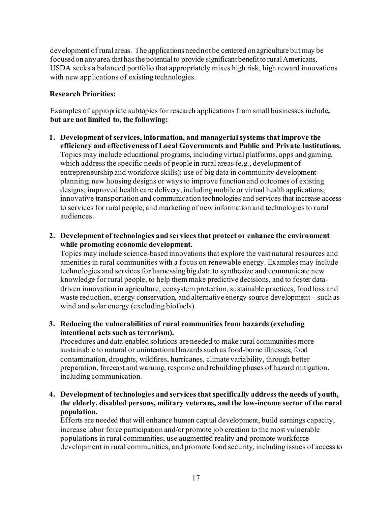development of rural areas. The applications neednotbe centered onagriculture but may be focused on any area that has the potential to provide significant benefit to rural Americans. USDA seeks a balanced portfolio that appropriately mixes high risk, high reward innovations with new applications of existing technologies.

# **Research Priorities:**

Examples of appropriate subtopicsfor research applications from small businesses include**, but are not limited to, the following:**

- **1. Development of services, information, and managerialsystems that improve the efficiency and effectiveness of Local Governments and Public and Private Institutions.** Topics may include educational programs, including virtual platforms, apps and gaming, which address the specific needs of people in rural areas (e.g., development of entrepreneurship and workforce skills); use of big data in community development planning; new housing designs or ways to improve function and outcomes of existing designs; improved health care delivery, including mobile or virtual health applications; innovative transportation and communication technologies and services that increase access to services for rural people; and marketing of new information and technologies to rural audiences.
- **2. Development of technologies and services that protect or enhance the environment while promoting economic development.**

Topics may include science-based innovations that explore the vast natural resources and amenities in rural communities with a focus on renewable energy. Examples may include technologies and services for harnessing big data to synthesize and communicate new knowledge for rural people, to help them make predictive decisions, and to foster datadriven innovation in agriculture, ecosystem protection, sustainable practices, food loss and waste reduction, energy conservation, and alternative energy source development – such as wind and solar energy (excluding biofuels).

## **3. Reducing the vulnerabilities of rural communities from hazards (excluding intentional acts such as terrorism).**

Procedures and data-enabled solutions are needed to make rural communities more sustainable to natural or unintentional hazardssuch as food-borne illnesses, food contamination, droughts, wildfires, hurricanes, climate variability, through better preparation, forecast and warning, response and rebuilding phases of hazard mitigation, including communication.

## **4. Development of technologies and services that specifically address the needs of youth, the elderly, disabled persons, military veterans, and the low-income sector of the rural population.**

Efforts are needed that will enhance human capital development, build earnings capacity, increase labor force participation and/or promote job creation to the most vulnerable populations in rural communities, use augmented reality and promote workforce development in rural communities, and promote food security, including issues of access to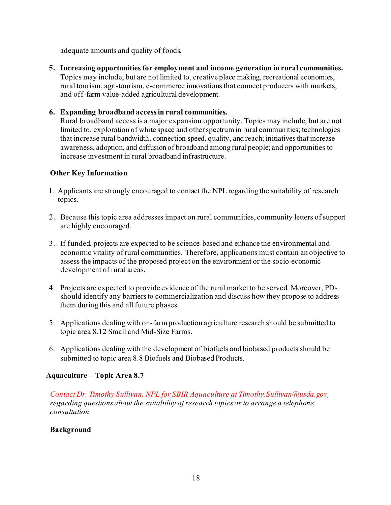adequate amounts and quality of foods.

**5. Increasing opportunities for employment and income generation in rural communities.** Topics may include, but are not limited to, creative place making, recreational economies, rural tourism, agri-tourism, e-commerce innovations that connect producers with markets, and off-farm value-added agricultural development.

# **6. Expanding broadband accessin rural communities.**

Rural broadband access is a major expansion opportunity. Topics may include, but are not limited to, exploration of white space and other spectrum in rural communities; technologies that increase rural bandwidth, connection speed, quality, and reach; initiatives that increase awareness, adoption, and diffusion of broadband among rural people; and opportunities to increase investment in rural broadband infrastructure.

## **Other Key Information**

- 1. Applicants are strongly encouraged to contact the NPL regarding the suitability of research topics.
- 2. Because this topic area addresses impact on rural communities, community letters of support are highly encouraged.
- 3. If funded, projects are expected to be science-based and enhance the environmental and economic vitality of rural communities. Therefore, applications must contain an objective to assess the impacts of the proposed project on the environment or the socio-economic development of rural areas.
- 4. Projects are expected to provide evidence of the rural market to be served. Moreover, PDs should identify any barriers to commercialization and discuss how they propose to address them during this and all future phases.
- 5. Applications dealing with on-farm production agriculture research should be submitted to topic area 8.12 Small and Mid-Size Farms.
- 6. Applications dealing with the development of biofuels and biobased products should be submitted to topic area 8.8 Biofuels and Biobased Products.

## **Aquaculture – Topic Area 8.7**

*Contact Dr. Timothy Sullivan, NPL for SBIR Aquaculture a[t Timothy.Sullivan@usda.gov](mailto:Robert.M.Smith@usda.gov), regarding questions about the suitability of research topics or to arrange a telephone consultation.*

## **Background**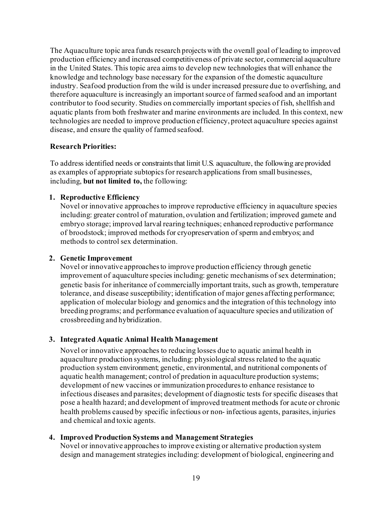The Aquaculture topic area funds research projects with the overall goal of leading to improved production efficiency and increased competitiveness of private sector, commercial aquaculture in the United States. This topic area aims to develop new technologies that will enhance the knowledge and technology base necessary for the expansion of the domestic aquaculture industry. Seafood production from the wild is under increased pressure due to overfishing, and therefore aquaculture is increasingly an important source of farmed seafood and an important contributor to food security. Studies on commercially important species of fish, shellfish and aquatic plants from both freshwater and marine environments are included. In this context, new technologies are needed to improve production efficiency, protect aquaculture species against disease, and ensure the quality of farmed seafood.

## **Research Priorities:**

To address identified needs or constraints that limit U.S. aquaculture, the following are provided as examples of appropriate subtopicsfor research applications from small businesses, including, **but not limited to,** the following:

## **1. Reproductive Efficiency**

Novel or innovative approaches to improve reproductive efficiency in aquaculture species including: greater control of maturation, ovulation and fertilization; improved gamete and embryo storage; improved larval rearing techniques; enhanced reproductive performance of broodstock; improved methods for cryopreservation of sperm and embryos; and methods to control sex determination.

#### **2. Genetic Improvement**

Novel or innovative approachesto improve production efficiency through genetic improvement of aquaculture species including: genetic mechanisms of sex determination; genetic basis for inheritance of commercially important traits, such as growth, temperature tolerance, and disease susceptibility; identification of major genes affecting performance; application of molecular biology and genomics and the integration of this technology into breeding programs; and performance evaluation of aquaculture species and utilization of crossbreeding and hybridization.

## **3. Integrated Aquatic Animal Health Management**

Novel or innovative approaches to reducing losses due to aquatic animal health in aquaculture production systems, including: physiological stress related to the aquatic production system environment; genetic, environmental, and nutritional components of aquatic health management; control of predation in aquaculture production systems; development of new vaccines or immunization procedures to enhance resistance to infectious diseases and parasites; development of diagnostic tests for specific diseases that pose a health hazard; and development of improved treatment methods for acute or chronic health problems caused by specific infectious or non- infectious agents, parasites, injuries and chemical and toxic agents.

## **4. Improved Production Systems and Management Strategies**

Novel or innovative approaches to improve existing or alternative production system design and management strategies including: development of biological, engineering and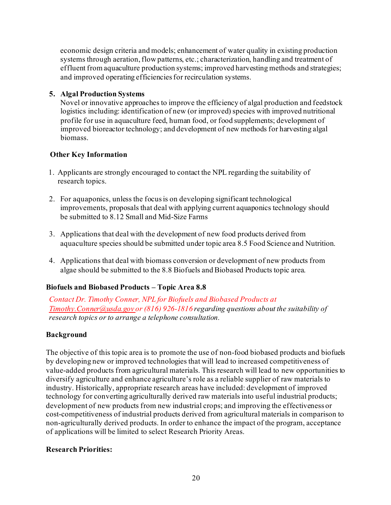economic design criteria and models; enhancement of water quality in existing production systems through aeration, flow patterns, etc.; characterization, handling and treatment of effluent from aquaculture production systems; improved harvesting methods and strategies; and improved operating efficienciesfor recirculation systems.

# **5. Algal Production Systems**

Novel or innovative approaches to improve the efficiency of algal production and feedstock logistics including: identification of new (or improved) species with improved nutritional profile for use in aquaculture feed, human food, or food supplements; development of improved bioreactor technology; and development of new methods for harvesting algal biomass.

# **Other Key Information**

- 1. Applicants are strongly encouraged to contact the NPL regarding the suitability of research topics.
- 2. For aquaponics, unless the focus is on developing significant technological improvements, proposals that deal with applying current aquaponics technology should be submitted to 8.12 Small and Mid-Size Farms
- 3. Applications that deal with the development of new food products derived from aquaculture species should be submitted under topic area 8.5 Food Science and Nutrition.
- 4. Applications that deal with biomass conversion or development of new products from algae should be submitted to the 8.8 Biofuels and Biobased Products topic area.

# **Biofuels and Biobased Products – Topic Area 8.8**

*Contact Dr. Timothy Conner, NPL for Biofuels and Biobased Products at [Timothy.Conner@usda.gov](mailto:Timothy.Conner@usda.gov) or (816) 926-1816 regarding questions about the suitability of research topics or to arrange a telephone consultation.*

## **Background**

The objective of this topic area is to promote the use of non-food biobased products and biofuels by developing new or improved technologies that will lead to increased competitiveness of value-added products from agricultural materials. This research will lead to new opportunities to diversify agriculture and enhance agriculture's role as a reliable supplier of raw materials to industry. Historically, appropriate research areas have included: development of improved technology for converting agriculturally derived raw materials into useful industrial products; development of new products from new industrial crops; and improving the effectiveness or cost-competitiveness of industrial products derived from agricultural materials in comparison to non-agriculturally derived products. In order to enhance the impact of the program, acceptance of applications will be limited to select Research Priority Areas.

## **Research Priorities:**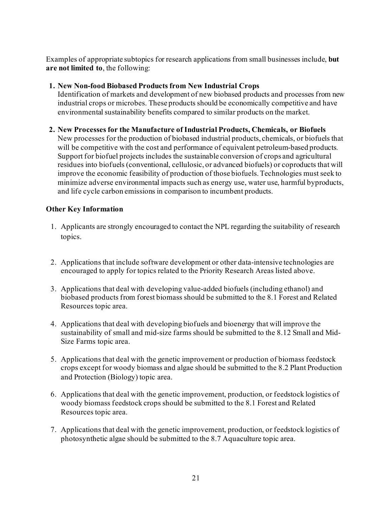Examples of appropriate subtopics for research applications from small businesses include, **but are not limited to**, the following:

# **1. New Non-food Biobased Products from New Industrial Crops**

Identification of markets and development of new biobased products and processes from new industrial crops or microbes. These products should be economically competitive and have environmental sustainability benefits compared to similar products on the market.

## **2. New Processes for the Manufacture of Industrial Products, Chemicals, or Biofuels**

New processes for the production of biobased industrial products, chemicals, or biofuels that will be competitive with the cost and performance of equivalent petroleum-based products*.* Support for biofuel projects includes the sustainable conversion of crops and agricultural residues into biofuels (conventional, cellulosic, or advanced biofuels) or coproducts that will improve the economic feasibility of production of those biofuels. Technologies must seek to minimize adverse environmental impacts such as energy use, water use, harmful byproducts, and life cycle carbon emissions in comparison to incumbent products.

# **Other Key Information**

- 1. Applicants are strongly encouraged to contact the NPL regarding the suitability of research topics.
- 2. Applications that include software development or other data-intensive technologies are encouraged to apply for topics related to the Priority Research Areas listed above.
- 3. Applications that deal with developing value-added biofuels (including ethanol) and biobased products from forest biomass should be submitted to the 8.1 Forest and Related Resources topic area.
- 4. Applications that deal with developing biofuels and bioenergy that will improve the sustainability of small and mid-size farms should be submitted to the 8.12 Small and Mid-Size Farms topic area.
- 5. Applications that deal with the genetic improvement or production of biomass feedstock crops except for woody biomass and algae should be submitted to the 8.2 Plant Production and Protection (Biology) topic area.
- 6. Applications that deal with the genetic improvement, production, or feedstock logistics of woody biomass feedstock crops should be submitted to the 8.1 Forest and Related Resources topic area.
- 7. Applications that deal with the genetic improvement, production, or feedstock logistics of photosynthetic algae should be submitted to the 8.7 Aquaculture topic area.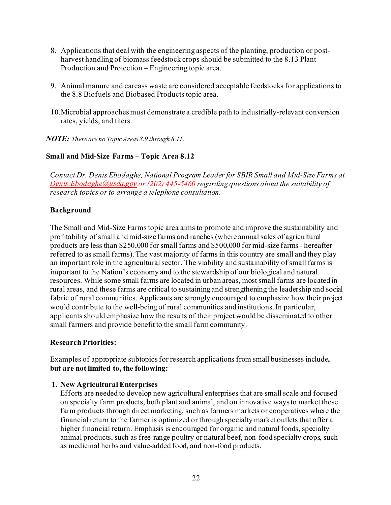- 8. Applications that deal with the engineering aspects of the planting, production or postharvest handling of biomass feedstock crops should be submitted to the 8.13 Plant Production and Protection – Engineering topic area.
- 9. Animal manure and carcass waste are considered acceptable feedstocks for applications to the 8.8 Biofuels and Biobased Products topic area.
- 10.Microbial approaches must demonstrate a credible path to industrially-relevant conversion rates, yields, and titers.

*NOTE: There are no Topic Areas 8.9 through 8.11.*

# **Small and Mid-Size Farms – Topic Area 8.12**

*Contact Dr. Denis Ebodaghe, National Program Leader for SBIR Small and Mid-Size Farms at [Denis.Ebodaghe@usda.gov](mailto:Denis.Ebodaghe@usda.gov) or (202) 445-5460 regarding questions about the suitability of research topics or to arrange a telephone consultation.*

## **Background**

The Small and Mid-Size Farms topic area aims to promote and improve the sustainability and profitability of small and mid-size farms and ranches (where annualsales of agricultural products are less than \$250,000 for small farms and \$500,000 for mid-size farms - hereafter referred to as small farms). The vast majority of farms in this country are small and they play an important role in the agricultural sector. The viability and sustainability of small farms is important to the Nation's economy and to the stewardship of our biological and natural resources. While some small farms are located in urban areas, mostsmall farms are located in rural areas, and these farms are critical to sustaining and strengthening the leadership and social fabric of rural communities. Applicants are strongly encouraged to emphasize how their project would contribute to the well-being of rural communities and institutions. In particular, applicants should emphasize how the results of their project would be disseminated to other small farmers and provide benefit to the small farm community.

## **Research Priorities:**

Examples of appropriate subtopicsfor research applications from small businesses include**, but are not limited to, the following:**

## **1. New Agricultural Enterprises**

Efforts are needed to develop new agricultural enterprises that are smallscale and focused on specialty farm products, both plant and animal, and on innovative ways to market these farm products through direct marketing, such as farmers markets or cooperatives where the financial return to the farmer is optimized or through specialty market outlets that offer a higher financial return. Emphasis is encouraged for organic and natural foods, specialty animal products, such as free-range poultry or natural beef, non-food specialty crops, such as medicinal herbs and value-added food, and non-food products.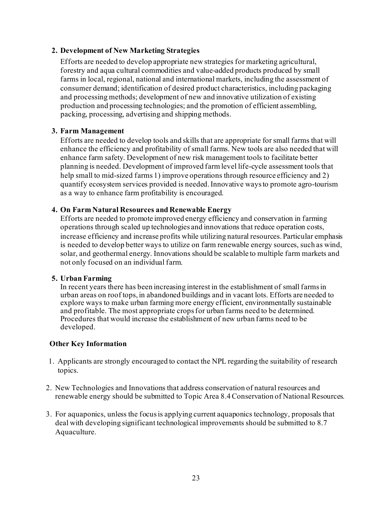#### **2. Development of New Marketing Strategies**

Efforts are needed to develop appropriate new strategies for marketing agricultural, forestry and aqua cultural commodities and value-added products produced by small farms in local, regional, national and international markets, including the assessment of consumer demand; identification of desired product characteristics, including packaging and processing methods; development of new and innovative utilization of existing production and processing technologies; and the promotion of efficient assembling, packing, processing, advertising and shipping methods.

#### **3. Farm Management**

Efforts are needed to develop tools and skills that are appropriate for small farms that will enhance the efficiency and profitability of small farms. New tools are also needed that will enhance farm safety. Development of new risk management tools to facilitate better planning is needed. Development of improved farm level life-cycle assessment tools that help small to mid-sized farms 1) improve operations through resource efficiency and 2) quantify ecosystem services provided is needed. Innovative waysto promote agro-tourism as a way to enhance farm profitability is encouraged.

#### **4. On Farm Natural Resources and Renewable Energy**

Efforts are needed to promote improved energy efficiency and conservation in farming operations through scaled up technologies and innovations that reduce operation costs, increase efficiency and increase profits while utilizing natural resources. Particular emphasis is needed to develop better ways to utilize on farm renewable energy sources, such as wind, solar, and geothermal energy. Innovations should be scalable to multiple farm markets and not only focused on an individual farm.

#### **5. Urban Farming**

In recent years there has been increasing interest in the establishment of small farmsin urban areas on roof tops, in abandoned buildings and in vacant lots. Efforts are needed to explore ways to make urban farming more energy efficient, environmentally sustainable and profitable. The most appropriate cropsfor urban farms need to be determined. Procedures that would increase the establishment of new urban farms need to be developed.

## **Other Key Information**

- 1. Applicants are strongly encouraged to contact the NPL regarding the suitability of research topics.
- 2. New Technologies and Innovations that address conservation of natural resources and renewable energy should be submitted to Topic Area 8.4 Conservation of National Resources.
- 3. For aquaponics, unless the focus is applying current aquaponics technology, proposals that deal with developing significant technological improvements should be submitted to 8.7 Aquaculture.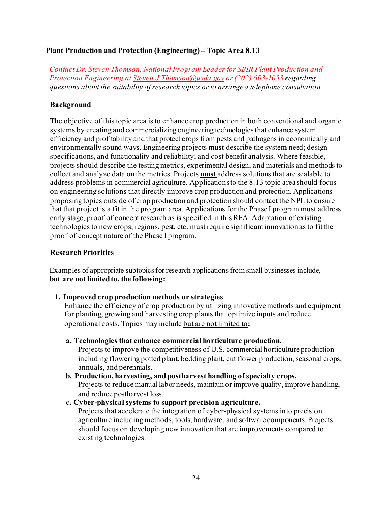#### **Plant Production and Protection (Engineering) – Topic Area 8.13**

*Contact Dr. Steven Thomson, National Program Leader for SBIR Plant Production and Protection Engineering a[t Steven.J.Thomson@usda.gov](mailto:Steven.J.Thomson@usda.gov) or (202) 603-1053 regarding questions about the suitability of research topics or to arrange a telephone consultation.*

## **Background**

The objective of this topic area is to enhance crop production in both conventional and organic systems by creating and commercializing engineering technologies that enhance system efficiency and profitability and that protect crops from pests and pathogens in economically and environmentally sound ways. Engineering projects **must** describe the system need; design specifications, and functionality and reliability; and cost benefit analysis. Where feasible, projects should describe the testing metrics, experimental design, and materials and methods to collect and analyze data on the metrics. Projects **must** address solutions that are scalable to address problems in commercial agriculture. Applications to the 8.13 topic area should focus on engineering solutions that directly improve crop production and protection. Applications proposing topics outside of crop production and protection should contact the NPL to ensure that that project is a fit in the program area. Applications for the Phase I program must address early stage, proof of concept research as is specified in this RFA. Adaptation of existing technologies to new crops, regions, pest, etc. must require significant innovation as to fit the proof of concept nature of the Phase I program.

#### **Research Priorities**

Examples of appropriate subtopics for research applications from small businesses include, **but are not limitedto, the following:**

#### **1. Improved crop production methods or strategies**

Enhance the efficiency of crop production by utilizing innovative methods and equipment for planting, growing and harvesting crop plants that optimize inputs and reduce operational costs. Topics may include but are not limited to**:**

**a. Technologies that enhance commercial horticulture production.**

Projects to improve the competitiveness of U.S. commercial horticulture production including flowering potted plant, bedding plant, cut flower production, seasonal crops, annuals, and perennials.

- **b. Production, harvesting, and postharvest handling of specialty crops.**  Projects to reduce manual labor needs, maintain or improve quality, improve handling, and reduce postharvest loss.
- **c. Cyber-physical systems to support precision agriculture.**

Projects that accelerate the integration of cyber-physical systems into precision agriculture including methods, tools, hardware, and software components. Projects should focus on developing new innovation that are improvements compared to existing technologies.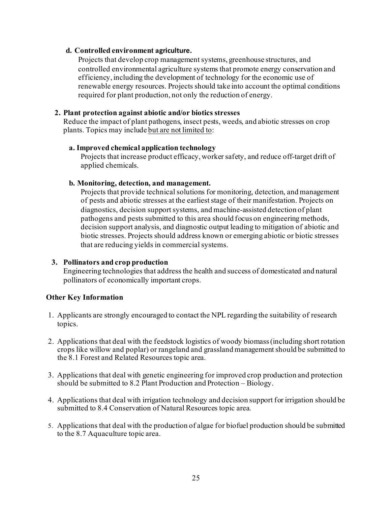#### **d. Controlled environment agriculture.**

Projects that develop crop management systems, greenhouse structures, and controlled environmental agriculture systems that promote energy conservation and efficiency, including the development of technology for the economic use of renewable energy resources. Projects should take into account the optimal conditions required for plant production, not only the reduction of energy.

#### **2. Plant protection against abiotic and/or biotics stresses**

Reduce the impact of plant pathogens, insect pests, weeds, and abiotic stresses on crop plants. Topics may include but are not limited to:

#### **a. Improved chemical application technology**

Projects that increase product efficacy, worker safety, and reduce off-target drift of applied chemicals.

#### **b. Monitoring, detection, and management.**

Projects that provide technical solutions for monitoring, detection, and management of pests and abiotic stresses at the earliest stage of their manifestation. Projects on diagnostics, decision support systems, and machine-assisted detection of plant pathogens and pests submitted to this area should focus on engineering methods, decision support analysis, and diagnostic output leading to mitigation of abiotic and biotic stresses. Projects should address known or emerging abiotic or biotic stresses that are reducing yields in commercial systems.

#### **3. Pollinators and crop production**

Engineering technologies that address the health and success of domesticated and natural pollinators of economically important crops.

## **Other Key Information**

- 1. Applicants are strongly encouraged to contact the NPL regarding the suitability of research topics.
- 2. Applications that deal with the feedstock logistics of woody biomass(including short rotation crops like willow and poplar) or rangeland and grassland management should be submitted to the 8.1 Forest and Related Resources topic area.
- 3. Applications that deal with genetic engineering for improved crop production and protection should be submitted to 8.2 Plant Production and Protection – Biology.
- 4. Applications that deal with irrigation technology and decision support for irrigation should be submitted to 8.4 Conservation of Natural Resources topic area.
- 5. Applications that deal with the production of algae for biofuel production should be submitted to the 8.7 Aquaculture topic area.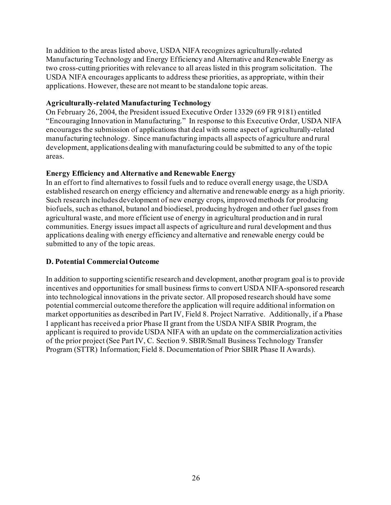In addition to the areas listed above, USDA NIFA recognizes agriculturally-related Manufacturing Technology and Energy Efficiency and Alternative and Renewable Energy as two cross-cutting priorities with relevance to all areas listed in this program solicitation. The USDA NIFA encourages applicants to address these priorities, as appropriate, within their applications. However, these are not meant to be standalone topic areas.

#### **Agriculturally-related Manufacturing Technology**

On February 26, 2004, the President issued Executive Order 13329 (69 FR 9181) entitled "Encouraging Innovation in Manufacturing." In response to this Executive Order, USDA NIFA encourages the submission of applications that deal with some aspect of agriculturally-related manufacturing technology. Since manufacturing impacts all aspects of agriculture and rural development, applications dealing with manufacturing could be submitted to any of the topic areas.

## **Energy Efficiency and Alternative and Renewable Energy**

In an effort to find alternatives to fossil fuels and to reduce overall energy usage, the USDA established research on energy efficiency and alternative and renewable energy as a high priority. Such research includes development of new energy crops, improved methods for producing biofuels, such as ethanol, butanol and biodiesel, producing hydrogen and other fuel gases from agricultural waste, and more efficient use of energy in agricultural production and in rural communities. Energy issues impact all aspects of agriculture and rural development and thus applications dealing with energy efficiency and alternative and renewable energy could be submitted to any of the topic areas.

## <span id="page-25-0"></span>**D. Potential Commercial Outcome**

In addition to supporting scientific research and development, another program goal is to provide incentives and opportunities for small business firms to convert USDA NIFA-sponsored research into technological innovations in the private sector. All proposed research should have some potential commercial outcome therefore the application will require additional information on market opportunities as described in Part IV, Field 8. Project Narrative. Additionally, if a Phase I applicant has received a prior Phase II grant from the USDA NIFA SBIR Program, the applicant is required to provide USDA NIFA with an update on the commercialization activities of the prior project (See Part IV, C. Section 9. SBIR/Small Business Technology Transfer Program (STTR) Information; Field 8. Documentation of Prior SBIR Phase II Awards).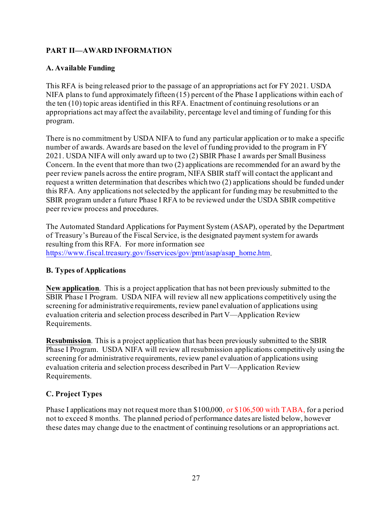# <span id="page-26-0"></span>**PART II—AWARD INFORMATION**

# <span id="page-26-1"></span>**A. Available Funding**

This RFA is being released prior to the passage of an appropriations act for FY 2021. USDA NIFA plans to fund approximately fifteen (15) percent of the Phase I applications within each of the ten (10) topic areas identified in this RFA. Enactment of continuing resolutions or an appropriations act may affect the availability, percentage level and timing of funding for this program.

There is no commitment by USDA NIFA to fund any particular application or to make a specific number of awards. Awards are based on the level of funding provided to the program in FY 2021. USDA NIFA will only award up to two (2) SBIR Phase I awards per Small Business Concern. In the event that more than two (2) applications are recommended for an award by the peer review panels across the entire program, NIFA SBIR staff will contact the applicant and request a written determination that describes which two (2) applications should be funded under this RFA. Any applications notselected by the applicant for funding may be resubmitted to the SBIR program under a future Phase I RFA to be reviewed under the USDA SBIR competitive peer review process and procedures.

The Automated Standard Applications for Payment System (ASAP), operated by the Department of Treasury's Bureau of the Fiscal Service, is the designated payment systemfor awards resulting from this RFA. For more information see [https://www.fiscal.treasury.gov/fsservices/gov/pmt/asap/asap\\_home.htm](https://www.fiscal.treasury.gov/fsservices/gov/pmt/asap/asap_home.htm).

# <span id="page-26-2"></span>**B. Types of Applications**

**New application**. This is a project application that has not been previously submitted to the SBIR Phase I Program. USDA NIFA will review all new applications competitively using the screening for administrative requirements, review panel evaluation of applications using evaluation criteria and selection process described in Part V—Application Review Requirements.

**Resubmission**. This is a project application that has been previously submitted to the SBIR Phase I Program. USDA NIFA will review all resubmission applications competitively using the screening for administrative requirements, review panel evaluation of applications using evaluation criteria and selection process described in Part V—Application Review Requirements.

# <span id="page-26-3"></span>**C. Project Types**

Phase I applications may not request more than \$100,000, or \$106,500 with TABA, for a period not to exceed 8 months. The planned period of performance dates are listed below, however these dates may change due to the enactment of continuing resolutions or an appropriations act.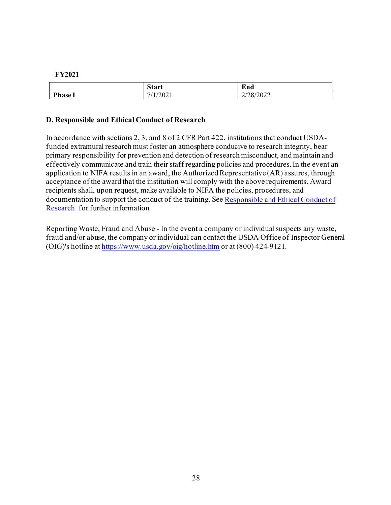#### **FY2021**

|         | Start                                                    | $\blacksquare$<br>End |
|---------|----------------------------------------------------------|-----------------------|
| Phase 1 | /2021<br>$\overline{\phantom{0}}$<br>$\mathbf{1}_{\ell}$ | 2/28/2022             |

#### <span id="page-27-0"></span>**D. Responsible and Ethical Conduct of Research**

In accordance with sections 2, 3, and 8 of 2 CFR Part 422, institutions that conduct USDAfunded extramural research must foster an atmosphere conducive to research integrity, bear primary responsibility for prevention and detection of research misconduct, and maintain and effectively communicate and train their staff regarding policies and procedures.In the event an application to NIFA results in an award, the Authorized Representative (AR) assures, through acceptance of the award that the institution will comply with the above requirements. Award recipients shall, upon request, make available to NIFA the policies, procedures, and documentation to support the conduct of the training. See [Responsible and Ethical Conduct of](https://nifa.usda.gov/responsible-and-ethical-conduct-research)  [Research](https://nifa.usda.gov/responsible-and-ethical-conduct-research) for further information.

Reporting Waste, Fraud and Abuse - In the event a company or individual suspects any waste, fraud and/or abuse, the company or individual can contact the USDA Office of Inspector General (OIG)'s hotline at<https://www.usda.gov/oig/hotline.htm> or at (800) 424-9121.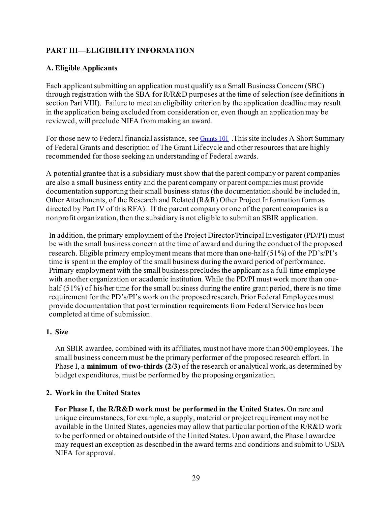# <span id="page-28-0"></span>**PART III—ELIGIBILITY INFORMATION**

# <span id="page-28-1"></span>**A. Eligible Applicants**

Each applicant submitting an application must qualify as a Small Business Concern (SBC) through registration with the SBA for R/R&D purposes at the time of selection (see definitions in section Part VIII). Failure to meet an eligibility criterion by the application deadline may result in the application being excluded from consideration or, even though an application may be reviewed, will preclude NIFA from making an award.

For those new to Federal financial assistance, se[e Grants 101](https://www.grants.gov/web/grants/learn-grants/grants-101.html). This site includes A Short Summary of Federal Grants and description of The Grant Lifecycle and other resources that are highly recommended for those seeking an understanding of Federal awards.

A potential grantee that is a subsidiary must show that the parent company or parent companies are also a small business entity and the parent company or parent companies must provide documentation supporting their small business status (the documentation should be included in, Other Attachments, of the Research and Related (R&R) Other Project Information form as directed by Part IV of this RFA). If the parent company or one of the parent companies is a nonprofit organization, then the subsidiary is not eligible to submit an SBIR application.

In addition, the primary employment of the Project Director/Principal Investigator (PD/PI) must be with the small business concern at the time of award and during the conduct of the proposed research. Eligible primary employment means that more than one-half (51%) of the PD's/PI's time is spent in the employ of the small business during the award period of performance. Primary employment with the small business precludes the applicant as a full-time employee with another organization or academic institution. While the PD/PI must work more than onehalf (51%) of his/her time for the small business during the entire grant period, there is no time requirement for the PD's/PI's work on the proposed research. Prior Federal Employees must provide documentation that post termination requirements from Federal Service has been completed at time of submission.

## **1. Size**

An SBIR awardee, combined with its affiliates, must not have more than 500 employees. The small business concern must be the primary performer of the proposed research effort. In Phase I, a **minimum of two-thirds (2/3)** of the research or analytical work, as determined by budget expenditures, must be performed by the proposing organization.

## **2. Work in the United States**

**For Phase I, the R/R&D work must be performed in the United States.** On rare and unique circumstances, for example, a supply, material or project requirement may not be available in the United States, agencies may allow that particular portion of the R/R&D work to be performed or obtained outside of the United States. Upon award, the Phase I awardee may request an exception as described in the award terms and conditions and submit to USDA NIFA for approval.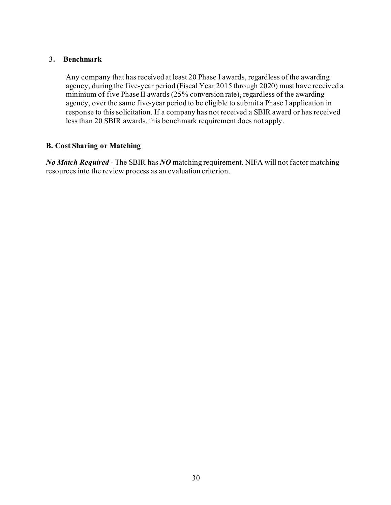#### **3. Benchmark**

Any company that has received at least 20 Phase I awards, regardless of the awarding agency, during the five-year period (Fiscal Year 2015 through 2020) must have received a minimum of five Phase II awards (25% conversion rate), regardless of the awarding agency, over the same five-year period to be eligible to submit a Phase I application in response to this solicitation. If a company has not received a SBIR award or has received less than 20 SBIR awards, this benchmark requirement does not apply.

# <span id="page-29-0"></span>**B. Cost Sharing or Matching**

*No Match Required* - The SBIR has *NO* matching requirement. NIFA will not factor matching resources into the review process as an evaluation criterion.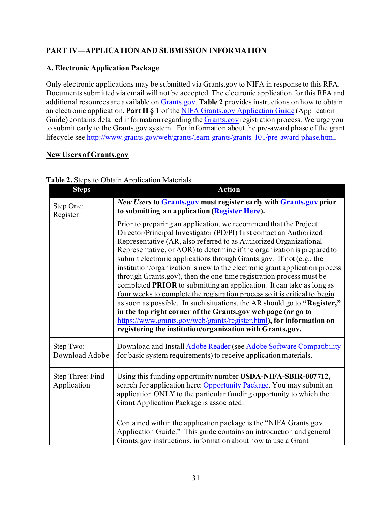# <span id="page-30-0"></span>**PART IV—APPLICATION AND SUBMISSION INFORMATION**

# <span id="page-30-1"></span>**A. Electronic Application Package**

Only electronic applications may be submitted via Grants.gov to NIFA in response to this RFA. Documents submitted via email will not be accepted. The electronic application for this RFA and additional resources are available o[n Grants.gov](https://www.grants.gov/). **Table 2** provides instructions on how to obtain an electronic application. **Part II § 1** of th[e NIFA Grants.gov Application Guide](https://apply07.grants.gov/apply/opportunities/instructions/PKG00249520-instructions.pdf) (Application Guide) contains detailed information regarding th[e Grants.gov](https://www.grants.gov/) registration process. We urge you to submit early to the Grants.gov system. For information about the pre-award phase of the grant lifecycle se[e http://www.grants.gov/web/grants/learn-grants/grants-101/pre-award-phase.html](http://www.grants.gov/web/grants/learn-grants/grants-101/pre-award-phase.html).

#### **New Users of Grants.gov**

| <b>Steps</b>                    | <b>Action</b>                                                                                                                                                                                                                                                                                                                                                                                                                                                                                                                                                                                                                                                                                                                                                                                                                                                                                                                                                |
|---------------------------------|--------------------------------------------------------------------------------------------------------------------------------------------------------------------------------------------------------------------------------------------------------------------------------------------------------------------------------------------------------------------------------------------------------------------------------------------------------------------------------------------------------------------------------------------------------------------------------------------------------------------------------------------------------------------------------------------------------------------------------------------------------------------------------------------------------------------------------------------------------------------------------------------------------------------------------------------------------------|
| Step One:<br>Register           | New Users to Grants.gov must register early with Grants.gov prior<br>to submitting an application (Register Here).                                                                                                                                                                                                                                                                                                                                                                                                                                                                                                                                                                                                                                                                                                                                                                                                                                           |
|                                 | Prior to preparing an application, we recommend that the Project<br>Director/Principal Investigator (PD/PI) first contact an Authorized<br>Representative (AR, also referred to as Authorized Organizational<br>Representative, or AOR) to determine if the organization is prepared to<br>submit electronic applications through Grants.gov. If not (e.g., the<br>institution/organization is new to the electronic grant application process<br>through Grants.gov), then the one-time registration process must be<br>completed PRIOR to submitting an application. It can take as long as<br>four weeks to complete the registration process so it is critical to begin<br>as soon as possible. In such situations, the AR should go to "Register,"<br>in the top right corner of the Grants.gov web page (or go to<br>https://www.grants.gov/web/grants/register.html), for information on<br>registering the institution/organization with Grants.gov. |
| Step Two:<br>Download Adobe     | Download and Install Adobe Reader (see Adobe Software Compatibility<br>for basic system requirements) to receive application materials.                                                                                                                                                                                                                                                                                                                                                                                                                                                                                                                                                                                                                                                                                                                                                                                                                      |
| Step Three: Find<br>Application | Using this funding opportunity number USDA-NIFA-SBIR-007712,<br>search for application here: Opportunity Package. You may submit an<br>application ONLY to the particular funding opportunity to which the<br>Grant Application Package is associated.                                                                                                                                                                                                                                                                                                                                                                                                                                                                                                                                                                                                                                                                                                       |
|                                 | Contained within the application package is the "NIFA Grants.gov<br>Application Guide." This guide contains an introduction and general<br>Grants.gov instructions, information about how to use a Grant                                                                                                                                                                                                                                                                                                                                                                                                                                                                                                                                                                                                                                                                                                                                                     |

#### <span id="page-30-2"></span>**Table 2.** Steps to Obtain Application Materials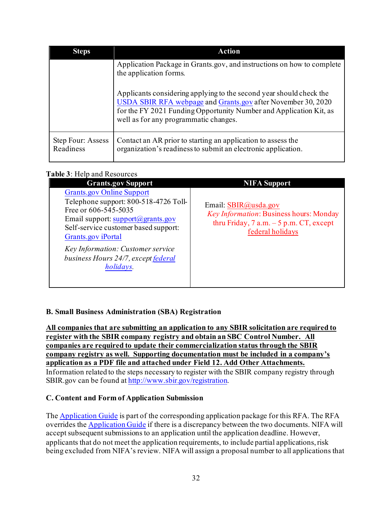| <b>Steps</b>                   | Action                                                                                                                                                                                                                                             |
|--------------------------------|----------------------------------------------------------------------------------------------------------------------------------------------------------------------------------------------------------------------------------------------------|
|                                | Application Package in Grants.gov, and instructions on how to complete<br>the application forms.                                                                                                                                                   |
|                                | Applicants considering applying to the second year should check the<br>USDA SBIR RFA webpage and Grants.gov after November 30, 2020<br>for the FY 2021 Funding Opportunity Number and Application Kit, as<br>well as for any programmatic changes. |
| Step Four: Assess<br>Readiness | Contact an AR prior to starting an application to assess the<br>organization's readiness to submit an electronic application.                                                                                                                      |

# <span id="page-31-2"></span>Table 3<sup>.</sup> Help and Resources

| <b>Grants.gov Support</b>                                                                                                                                                                                           | <b>NIFA Support</b>                                                                                                               |  |  |
|---------------------------------------------------------------------------------------------------------------------------------------------------------------------------------------------------------------------|-----------------------------------------------------------------------------------------------------------------------------------|--|--|
| <b>Grants.gov Online Support</b><br>Telephone support: 800-518-4726 Toll-<br>Free or 606-545-5035<br>Email support: $support(\mathcal{Q})$ grants.gov<br>Self-service customer based support:<br>Grants.gov iPortal | Email: SBIR@usda.gov<br>Key Information: Business hours: Monday<br>thru Friday, $7$ a.m. $-5$ p.m. CT, except<br>federal holidays |  |  |
| Key Information: Customer service<br>business Hours 24/7, except federal<br>holidays.                                                                                                                               |                                                                                                                                   |  |  |

# <span id="page-31-0"></span>**B. Small Business Administration (SBA) Registration**

**All companies that are submitting an application to any SBIR solicitation are required to register with the SBIR company registry and obtain an SBC Control Number. All companies are required to update their commercialization status through the SBIR company registry as well. Supporting documentation must be included in a company's application as a PDF file and attached under Field 12. Add Other Attachments.** Information related to the steps necessary to register with the SBIR company registry through SBIR.gov can be found a[t http://www.sbir.gov/registration](http://www.sbir.gov/registration).

## <span id="page-31-1"></span>**C. Content and Form of Application Submission**

The [Application Guide](https://apply07.grants.gov/apply/opportunities/instructions/PKG00249520-instructions.pdf) is part of the corresponding application package for this RFA. The RFA overrides th[e Application Guide](https://apply07.grants.gov/apply/opportunities/instructions/PKG00249520-instructions.pdf) if there is a discrepancy between the two documents. NIFA will accept subsequent submissions to an application until the application deadline. However, applicants that do not meet the application requirements, to include partial applications, risk being excluded from NIFA's review. NIFA will assign a proposal number to all applications that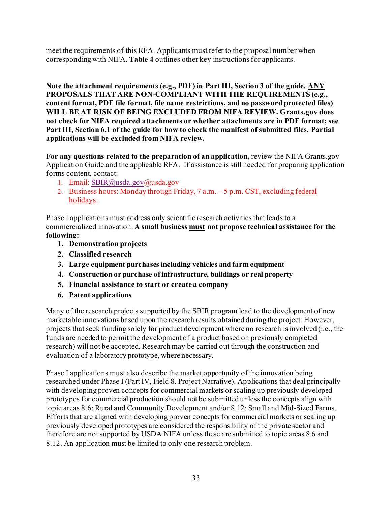meet the requirements of this RFA. Applicants must refer to the proposal number when corresponding with NIFA. **Table 4** outlines other key instructions for applicants.

**Note the attachment requirements (e.g., PDF) in Part III, Section 3 of the guide. ANY PROPOSALS THAT ARE NON-COMPLIANT WITH THE REQUIREMENTS (e.g., content format, PDF file format, file name restrictions, and no password protected files) WILL BE AT RISK OF BEING EXCLUDED FROM NIFA REVIEW. Grants.gov does not check for NIFA required attachments or whether attachments are in PDF format; see Part III, Section 6.1 of the guide for how to check the manifest of submitted files. Partial applications will be excluded from NIFA review.** 

**For any questions related to the preparation of an application,** review the NIFA Grants.gov Application Guide and the applicable RFA. If assistance is still needed for preparing application forms content, contact:

- 1. Email: [SBIR@usda.gov@](mailto:SBIR@usda.gov)usda.gov
- 2. Business hours: Monday through Friday, 7 a.m. 5 p.m. CST, excludin[g federal](https://www.opm.gov/policy-data-oversight/snow-dismissal-procedures/federal-holidays/)  [holidays.](https://www.opm.gov/policy-data-oversight/snow-dismissal-procedures/federal-holidays/)

Phase I applications must address only scientific research activities that leads to a commercialized innovation. **A small business must not propose technical assistance for the following:**

- **1. Demonstration projects**
- **2. Classified research**
- **3. Large equipment purchases including vehicles and farm equipment**
- **4. Construction or purchase of infrastructure, buildings or real property**
- **5. Financial assistance to start or create a company**
- **6. Patent applications**

Many of the research projects supported by the SBIR program lead to the development of new marketable innovations based upon the research results obtained during the project. However, projects that seek funding solely for product development where no research is involved (i.e., the funds are needed to permit the development of a product based on previously completed research) will not be accepted. Research may be carried out through the construction and evaluation of a laboratory prototype, where necessary.

Phase I applications must also describe the market opportunity of the innovation being researched under Phase I (Part IV, Field 8. Project Narrative). Applications that deal principally with developing proven concepts for commercial markets or scaling up previously developed prototypes for commercial production should not be submitted unless the concepts align with topic areas 8.6: Rural and Community Development and/or 8.12: Small and Mid-Sized Farms. Efforts that are aligned with developing proven concepts for commercial markets or scaling up previously developed prototypes are considered the responsibility of the private sector and therefore are not supported by USDA NIFA unless these are submitted to topic areas 8.6 and 8.12. An application must be limited to only one research problem.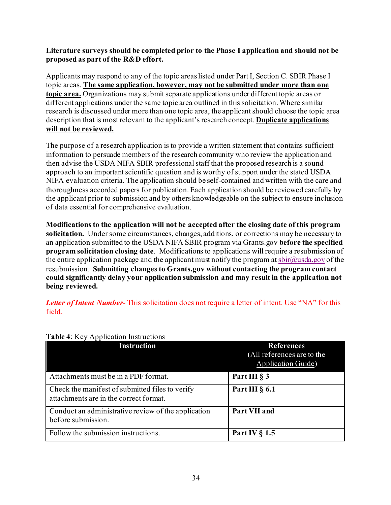#### **Literature surveys should be completed prior to the Phase I application and should not be proposed as part of the R&D effort.**

Applicants may respond to any of the topic areaslisted under Part I, Section C. SBIR Phase I topic areas. **The same application, however, may not be submitted under more than one topic area.** Organizations may submit separate applications under different topic areas or different applications under the same topic area outlined in this solicitation. Where similar research is discussed under more than one topic area, the applicant should choose the topic area description that is most relevant to the applicant's research concept. **Duplicate applications will not be reviewed.**

The purpose of a research application is to provide a written statement that contains sufficient information to persuade members of the research community who review the application and then advise the USDA NIFA SBIR professionalstaff that the proposed research is a sound approach to an important scientific question and is worthy of support under the stated USDA NIFA evaluation criteria. The application should be self-contained and written with the care and thoroughness accorded papers for publication. Each application should be reviewed carefully by the applicant prior to submission and by others knowledgeable on the subject to ensure inclusion of data essential for comprehensive evaluation.

**Modifications to the application will not be accepted after the closing date of this program solicitation.** Under some circumstances, changes, additions, or corrections may be necessary to an application submitted to the USDA NIFA SBIR program via Grants.gov **before the specified program solicitation closing date**. Modifications to applications will require a resubmission of the entire application package and the applicant must notify the program at  $\text{sbir}(\hat{a})$ usda.gov of the resubmission. **Submitting changes to Grants.gov without contacting the program contact could significantly delay your application submission and may result in the application not being reviewed.**

*Letter of Intent Number*- This solicitation does not require a letter of intent. Use "NA" for this field.

| <b>Instruction</b>                                                                        | <b>References</b><br>(All references are to the<br><b>Application Guide)</b> |
|-------------------------------------------------------------------------------------------|------------------------------------------------------------------------------|
| Attachments must be in a PDF format.                                                      | Part III § 3                                                                 |
| Check the manifest of submitted files to verify<br>attachments are in the correct format. | Part III $\S$ 6.1                                                            |
| Conduct an administrative review of the application<br>before submission.                 | Part VII and                                                                 |
| Follow the submission instructions.                                                       | Part IV $\S$ 1.5                                                             |

#### <span id="page-33-0"></span>**Table 4**: Key Application Instructions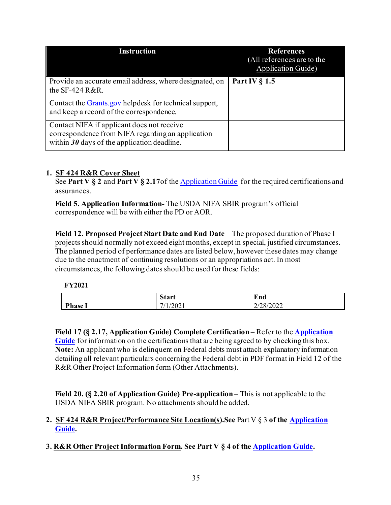| <b>Instruction</b>                                                                                                                               | <b>References</b><br>(All references are to the<br><b>Application Guide)</b> |
|--------------------------------------------------------------------------------------------------------------------------------------------------|------------------------------------------------------------------------------|
| Provide an accurate email address, where designated, on<br>the SF-424 R&R.                                                                       | Part IV $\S$ 1.5                                                             |
| Contact the Grants gov helpdesk for technical support,<br>and keep a record of the correspondence.                                               |                                                                              |
| Contact NIFA if applicant does not receive<br>correspondence from NIFA regarding an application<br>within $30$ days of the application deadline. |                                                                              |

# **1. SF 424 R&R Cover Sheet**

See Part V § 2 and Part V § 2.17 of th[e Application Guide](https://apply07.grants.gov/apply/opportunities/instructions/PKG00249520-instructions.pdf) for the required certifications and assurances.

**Field 5. Application Information-** The USDA NIFA SBIR program's official correspondence will be with either the PD or AOR.

**Field 12. Proposed Project Start Date and End Date** – The proposed duration of Phase I projects should normally not exceed eight months, except in special, justified circumstances. The planned period of performance dates are listed below, however these dates may change due to the enactment of continuing resolutions or an appropriations act. In most circumstances, the following dates should be used for these fields:

## **FY2021**

|         | $\sim$<br><b>Start</b>                                   | $\blacksquare$<br>End |
|---------|----------------------------------------------------------|-----------------------|
| Phase 1 | $\overline{ }$<br>/202 <sub>1</sub><br>$\mathcal{L}_{1}$ | /28/2022<br>⊷         |

**Field 17 (§ 2.17, Application Guide) Complete Certification** – Refer to the **[Application](https://apply07.grants.gov/apply/opportunities/instructions/PKG00249520-instructions.pdf)**  [Guide](https://apply07.grants.gov/apply/opportunities/instructions/PKG00249520-instructions.pdf) for information on the certifications that are being agreed to by checking this box. **Note:** An applicant who is delinquent on Federal debts must attach explanatory information detailing all relevant particulars concerning the Federal debt in PDF format in Field 12 of the R&R Other Project Information form (Other Attachments).

**Field 20. (§ 2.20 of Application Guide) Pre-application** – This is not applicable to the USDA NIFA SBIR program. No attachments should be added.

# **2. SF 424 R&R Project/Performance Site Location(s).See** Part V § 3 **of the [Application](https://apply07.grants.gov/apply/opportunities/instructions/PKG00249520-instructions.pdf)  [Guide.](https://apply07.grants.gov/apply/opportunities/instructions/PKG00249520-instructions.pdf)**

**3. R&R Other Project Information Form. See Part V § 4 of the [Application Guide.](https://apply07.grants.gov/apply/opportunities/instructions/PKG00249520-instructions.pdf)**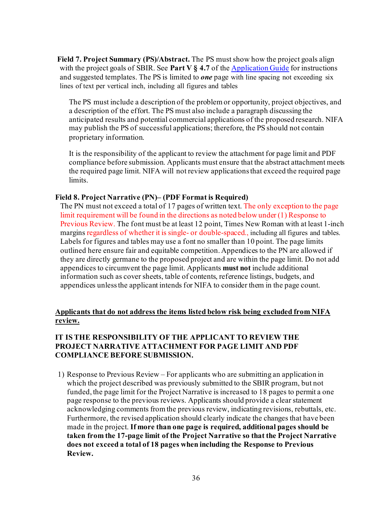**Field 7. Project Summary (PS)/Abstract.** The PS must show how the project goals align with the project goals of SBIR. See **Part V § 4.7** of th[e Application Guide](https://apply07.grants.gov/apply/opportunities/instructions/PKG00249520-instructions.pdf) for instructions and suggested templates. The PS is limited to *one* page with line spacing not exceeding six lines of text per vertical inch, including all figures and tables

The PS must include a description of the problem or opportunity, project objectives, and a description of the effort. The PS must also include a paragraph discussing the anticipated results and potential commercial applications of the proposed research. NIFA may publish the PS of successful applications; therefore, the PS should not contain proprietary information.

It is the responsibility of the applicant to review the attachment for page limit and PDF compliance before submission. Applicants must ensure that the abstract attachment meets the required page limit. NIFA will not review applications that exceed the required page limits.

#### **Field 8. Project Narrative (PN)– (PDF Format is Required)**

The PN must not exceed a total of 17 pages of written text. The only exception to the page limit requirement will be found in the directions as noted below under (1) Response to Previous Review. The font must be at least 12 point, Times New Roman with at least 1-inch margins regardless of whether it is single- or double-spaced., including all figures and tables. Labels for figures and tables may use a font no smaller than 10 point. The page limits outlined here ensure fair and equitable competition. Appendices to the PN are allowed if they are directly germane to the proposed project and are within the page limit. Do not add appendices to circumvent the page limit. Applicants **must not** include additional information such as cover sheets, table of contents, reference listings, budgets, and appendices unlessthe applicant intends for NIFA to consider them in the page count.

## **Applicants that do not address the items listed below risk being excluded from NIFA review.**

# **IT IS THE RESPONSIBILITY OF THE APPLICANT TO REVIEW THE PROJECT NARRATIVE ATTACHMENT FOR PAGE LIMIT AND PDF COMPLIANCE BEFORE SUBMISSION.**

1) Response to Previous Review – For applicants who are submitting an application in which the project described was previously submitted to the SBIR program, but not funded, the page limit for the Project Narrative is increased to 18 pages to permit a one page response to the previous reviews. Applicants should provide a clear statement acknowledging comments from the previous review, indicating revisions, rebuttals, etc. Furthermore, the revised application should clearly indicate the changes that have been made in the project. **If more than one page is required, additional pages should be taken from the 17-page limit of the Project Narrative so that the Project Narrative does not exceed a total of 18 pages when including the Response to Previous Review.**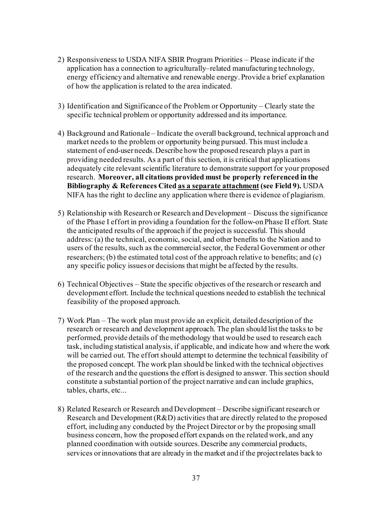- 2) Responsiveness to USDA NIFA SBIR Program Priorities Please indicate if the application has a connection to agriculturally–related manufacturing technology, energy efficiency and alternative and renewable energy. Provide a brief explanation of how the application is related to the area indicated.
- 3) Identification and Significance of the Problem or Opportunity Clearly state the specific technical problem or opportunity addressed and its importance.
- 4) Background and Rationale Indicate the overall background, technical approach and market needs to the problem or opportunity being pursued. This must include a statement of end-user needs. Describe how the proposed research plays a part in providing needed results. As a part of this section, it is critical that applications adequately cite relevant scientific literature to demonstrate support for your proposed research. **Moreover, all citations provided must be properly referenced in the Bibliography & References Cited as a separate attachment (see Field 9).** USDA NIFA has the right to decline any application where there is evidence of plagiarism.
- 5) Relationship with Research or Research and Development Discuss the significance of the Phase I effort in providing a foundation for the follow-on Phase II effort. State the anticipated results of the approach if the project is successful. This should address: (a) the technical, economic, social, and other benefits to the Nation and to users of the results, such as the commercialsector, the Federal Government or other researchers; (b) the estimated total cost of the approach relative to benefits; and (c) any specific policy issues or decisions that might be affected by the results.
- 6) Technical Objectives State the specific objectives of the research or research and development effort. Include the technical questions needed to establish the technical feasibility of the proposed approach.
- 7) Work Plan The work plan must provide an explicit, detailed description of the research or research and development approach. The plan should list the tasks to be performed, provide details of the methodology that would be used to research each task, including statistical analysis, if applicable, and indicate how and where the work will be carried out. The effort should attempt to determine the technical feasibility of the proposed concept. The work plan should be linked with the technical objectives of the research and the questions the effort is designed to answer. This section should constitute a substantial portion of the project narrative and can include graphics, tables, charts, etc...
- 8) Related Research or Research and Development Describe significant research or Research and Development (R&D) activities that are directly related to the proposed effort, including any conducted by the Project Director or by the proposing small business concern, how the proposed effort expands on the related work, and any planned coordination with outside sources. Describe any commercial products, services or innovations that are already in the market and if the project relates back to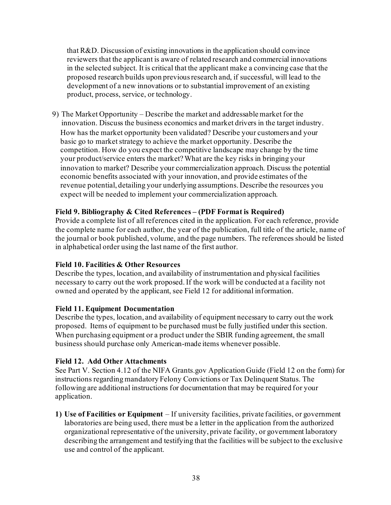that R&D. Discussion of existing innovations in the application should convince reviewers that the applicant is aware of related research and commercial innovations in the selected subject. It is critical that the applicant make a convincing case that the proposed research builds upon previousresearch and, if successful, will lead to the development of a new innovations or to substantial improvement of an existing product, process, service, or technology.

9) The Market Opportunity – Describe the market and addressable market for the innovation. Discuss the business economics and market drivers in the target industry. How has the market opportunity been validated? Describe your customers and your basic go to market strategy to achieve the market opportunity. Describe the competition. How do you expect the competitive landscape may change by the time your product/service enters the market?What are the key risks in bringing your innovation to market? Describe your commercialization approach. Discuss the potential economic benefits associated with your innovation, and provide estimates of the revenue potential, detailing your underlying assumptions. Describe the resources you expect will be needed to implement your commercialization approach.

## **Field 9. Bibliography & Cited References – (PDF Format is Required)**

Provide a complete list of all references cited in the application. For each reference, provide the complete name for each author, the year of the publication, full title of the article, name of the journal or book published, volume, and the page numbers. The references should be listed in alphabetical order using the last name of the first author.

## **Field 10. Facilities & Other Resources**

Describe the types, location, and availability of instrumentation and physical facilities necessary to carry out the work proposed.If the work will be conducted at a facility not owned and operated by the applicant, see Field 12 for additional information.

## **Field 11. Equipment Documentation**

Describe the types, location, and availability of equipment necessary to carry out the work proposed. Items of equipment to be purchased must be fully justified under this section. When purchasing equipment or a product under the SBIR funding agreement, the small business should purchase only American-made items whenever possible.

# **Field 12. Add Other Attachments**

See Part V. Section 4.12 of the NIFA Grants.gov Application Guide (Field 12 on the form) for instructions regarding mandatory Felony Convictions or Tax Delinquent Status. The following are additional instructions for documentation that may be required for your application.

**1) Use of Facilities or Equipment** – If university facilities, private facilities, or government laboratories are being used, there must be a letter in the application from the authorized organizational representative of the university, private facility, or government laboratory describing the arrangement and testifying that the facilities will be subject to the exclusive use and control of the applicant.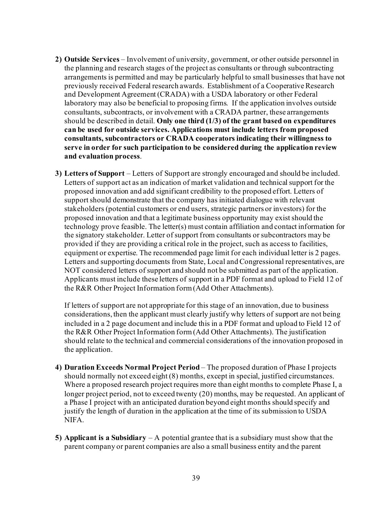- **2) Outside Services** Involvement of university, government, or other outside personnel in the planning and research stages of the project as consultants or through subcontracting arrangements is permitted and may be particularly helpful to small businesses that have not previously received Federal research awards. Establishment of a Cooperative Research and Development Agreement (CRADA) with a USDA laboratory or other Federal laboratory may also be beneficial to proposing firms. If the application involves outside consultants, subcontracts, or involvement with a CRADA partner, these arrangements should be described in detail. **Only one third (1/3) of the grant based on expenditures can be used for outside services. Applications must include letters from proposed consultants, subcontractors or CRADA cooperators indicating their willingness to serve in order for such participation to be considered during the application review and evaluation process**.
- **3) Letters of Support**  Letters of Support are strongly encouraged and should be included. Letters of support act as an indication of market validation and technical support for the proposed innovation and add significant credibility to the proposed effort. Letters of support should demonstrate that the company has initiated dialogue with relevant stakeholders (potential customers or end users, strategic partners or investors) for the proposed innovation and that a legitimate business opportunity may exist should the technology prove feasible. The letter(s) must contain affiliation and contact information for the signatory stakeholder. Letter of support from consultants or subcontractors may be provided if they are providing a critical role in the project, such as access to facilities, equipment or expertise. The recommended page limit for each individual letter is 2 pages. Letters and supporting documents from State, Local and Congressional representatives, are NOT considered letters of support and should not be submitted as part of the application. Applicants must include these letters of support in a PDF format and upload to Field 12 of the R&R Other Project Information form (Add Other Attachments).

If letters of support are not appropriate for this stage of an innovation, due to business considerations, then the applicant must clearly justify why letters of support are not being included in a 2 page document and include this in a PDF format and upload to Field 12 of the R&R Other Project Information form (Add Other Attachments). The justification should relate to the technical and commercial considerations of the innovation proposed in the application.

- **4) Duration Exceeds Normal Project Period**  The proposed duration of Phase I projects should normally not exceed eight (8) months, except in special, justified circumstances. Where a proposed research project requires more than eight months to complete Phase I, a longer project period, not to exceed twenty (20) months, may be requested. An applicant of a Phase I project with an anticipated duration beyond eight months should specify and justify the length of duration in the application at the time of its submission to USDA NIFA.
- **5) Applicant is a Subsidiary**  A potential grantee that is a subsidiary must show that the parent company or parent companies are also a small business entity and the parent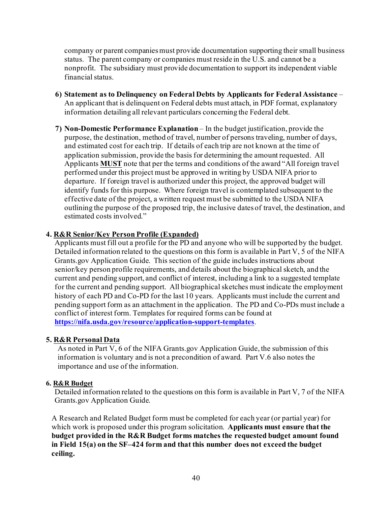company or parent companies must provide documentation supporting their small business status. The parent company or companies must reside in the U.S. and cannot be a nonprofit. The subsidiary must provide documentation to support its independent viable financial status.

- **6) Statement as to Delinquency on Federal Debts by Applicants for Federal Assistance**  An applicant that is delinquent on Federal debts must attach, in PDF format, explanatory information detailing all relevant particulars concerning the Federal debt.
- **7) Non-Domestic Performance Explanation** In the budget justification, provide the purpose, the destination, method of travel, number of persons traveling, number of days, and estimated cost for each trip. If details of each trip are not known at the time of application submission, provide the basis for determining the amount requested. All Applicants **MUST** note that per the terms and conditions of the award "All foreign travel performed under this project must be approved in writing by USDA NIFA prior to departure. If foreign travel is authorized under this project, the approved budget will identify funds for this purpose. Where foreign travel is contemplated subsequent to the effective date of the project, a written request must be submitted to the USDA NIFA outlining the purpose of the proposed trip, the inclusive dates of travel, the destination, and estimated costs involved."

# **4. R&R Senior/Key Person Profile (Expanded)**

Applicants must fill out a profile for the PD and anyone who will be supported by the budget. Detailed information related to the questions on this form is available in Part V, 5 of the NIFA Grants.gov Application Guide. This section of the guide includes instructions about senior/key person profile requirements, and details about the biographical sketch, and the current and pending support, and conflict of interest, including a link to a suggested template for the current and pending support. All biographical sketches must indicate the employment history of each PD and Co-PD for the last 10 years. Applicants must include the current and pending support form as an attachment in the application. The PD and Co-PDs must include a conflict of interest form. Templates for required forms can be found at **<https://nifa.usda.gov/resource/application-support-templates>**.

## **5. R&R Personal Data**

As noted in Part V, 6 of the NIFA Grants.gov Application Guide, the submission of this information is voluntary and is not a precondition of award. Part V.6 also notes the importance and use of the information.

#### **6. R&R Budget**

Detailed information related to the questions on this form is available in Part V, 7 of the NIFA Grants.gov Application Guide.

A Research and Related Budget form must be completed for each year (or partial year) for which work is proposed under this program solicitation. **Applicants must ensure that the budget provided in the R&R Budget forms matches the requested budget amount found in Field 15(a) on the SF–424 form and that this number does not exceed the budget ceiling.**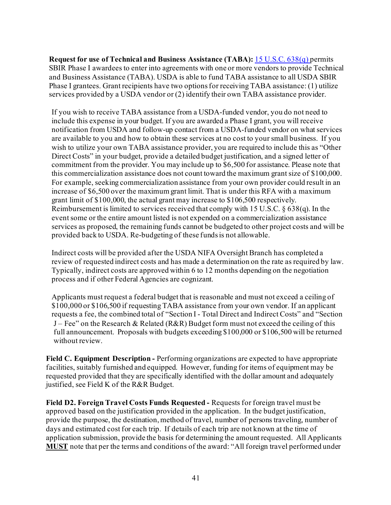**Request for use of Technical and Business Assistance (TABA):** [15 U.S.C. 638\(q\)](https://uscode.house.gov/view.xhtml?req=(title:15%20section:638%20edition:prelim)%20OR%20(granuleid:USC-prelim-title15-section638)&f=treesort&edition=prelim&num=0&jumpTo=true) permits SBIR Phase I awardees to enter into agreements with one or more vendors to provide Technical and Business Assistance (TABA). USDA is able to fund TABA assistance to all USDA SBIR Phase I grantees. Grant recipients have two options for receiving TABA assistance: (1) utilize services provided by a USDA vendor or (2) identify their own TABA assistance provider.

If you wish to receive TABA assistance from a USDA-funded vendor, you do not need to include this expense in your budget. If you are awarded a Phase I grant, you will receive notification from USDA and follow-up contact from a USDA-funded vendor on what services are available to you and how to obtain these services at no cost to your small business. If you wish to utilize your own TABA assistance provider, you are required to include this as "Other Direct Costs" in your budget, provide a detailed budget justification, and a signed letter of commitment from the provider. You may include up to \$6,500 for assistance. Please note that this commercialization assistance does not count toward the maximum grant size of \$100,000. For example, seeking commercialization assistance from your own provider could result in an increase of \$6,500 over the maximum grant limit. That is under this RFA with a maximum grant limit of \$100,000, the actual grant may increase to \$106,500 respectively. Reimbursement is limited to services received that comply with 15 U.S.C. § 638(q). In the event some or the entire amount listed is not expended on a commercialization assistance services as proposed, the remaining funds cannot be budgeted to other project costs and will be provided back to USDA. Re-budgeting of these funds is not allowable.

Indirect costs will be provided after the USDA NIFA Oversight Branch has completed a review of requested indirect costs and has made a determination on the rate as required by law. Typically, indirect costs are approved within 6 to 12 months depending on the negotiation process and if other Federal Agencies are cognizant.

Applicants must request a federal budget that is reasonable and must not exceed a ceiling of \$100,000 or \$106,500 if requesting TABA assistance from your own vendor. If an applicant requests a fee, the combined total of "Section I - Total Direct and Indirect Costs" and "Section J – Fee" on the Research & Related (R&R) Budget form must not exceed the ceiling of this full announcement. Proposals with budgets exceeding \$100,000 or \$106,500 will be returned without review.

**Field C. Equipment Description -** Performing organizations are expected to have appropriate facilities, suitably furnished and equipped. However, funding for items of equipment may be requested provided that they are specifically identified with the dollar amount and adequately justified, see Field K of the R&R Budget.

**Field D2. Foreign Travel Costs Funds Requested -** Requests for foreign travel must be approved based on the justification provided in the application. In the budget justification, provide the purpose, the destination, method of travel, number of persons traveling, number of days and estimated cost for each trip. If details of each trip are not known at the time of application submission, provide the basis for determining the amount requested. All Applicants **MUST** note that per the terms and conditions of the award: "All foreign travel performed under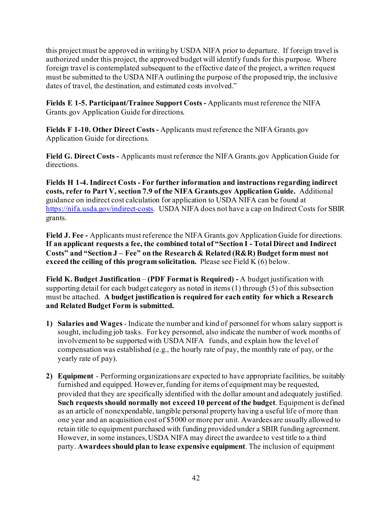this project must be approved in writing by USDA NIFA prior to departure. If foreign travel is authorized under this project, the approved budget will identify funds for this purpose. Where foreign travel is contemplated subsequent to the effective date of the project, a written request must be submitted to the USDA NIFA outlining the purpose of the proposed trip, the inclusive dates of travel, the destination, and estimated costs involved."

**Fields E 1-5. Participant/Trainee Support Costs -** Applicants must reference the NIFA Grants.gov Application Guide for directions.

**Fields F 1-10. Other Direct Costs -** Applicants must reference the NIFA Grants.gov Application Guide for directions.

**Field G. Direct Costs -** Applicants must reference the NIFA Grants.gov Application Guide for directions.

**Fields H 1-4. Indirect Costs - For further information and instructions regarding indirect costs, refer to Part V, section 7.9 of the NIFA Grants.gov Application Guide.** Additional guidance on indirect cost calculation for application to USDA NIFA can be found at <https://nifa.usda.gov/indirect-costs>. USDA NIFA does not have a cap on Indirect Costs for SBIR grants.

**Field J. Fee -** Applicants must reference the NIFA Grants.gov Application Guide for directions. **If an applicant requests a fee, the combined total of "Section I - Total Direct and Indirect Costs" and "Section J – Fee" on the Research & Related (R&R) Budget form must not exceed the ceiling of this program solicitation.** Please see Field K (6) below.

**Field K. Budget Justification** – **(PDF Format is Required) -** A budget justification with supporting detail for each budget category as noted in items (1) through (5) of this subsection must be attached. **A budget justification is required for each entity for which a Research and Related Budget Form is submitted.**

- **1) Salaries and Wages** Indicate the number and kind of personnel for whom salary support is sought, including job tasks. For key personnel, also indicate the number of work months of involvement to be supported with USDA NIFA funds, and explain how the level of compensation was established (e.g., the hourly rate of pay, the monthly rate of pay, or the yearly rate of pay).
- **2) Equipment** Performing organizations are expected to have appropriate facilities, be suitably furnished and equipped. However, funding for items of equipment may be requested, provided that they are specifically identified with the dollar amount and adequately justified. **Such requests should normally not exceed 10 percent of the budget**. Equipment is defined as an article of nonexpendable, tangible personal property having a useful life of more than one year and an acquisition cost of \$5000 or more per unit. Awardees are usually allowed to retain title to equipment purchased with funding provided under a SBIR funding agreement. However, in some instances, USDA NIFA may direct the awardee to vest title to a third party. **Awardees should plan to lease expensive equipment**. The inclusion of equipment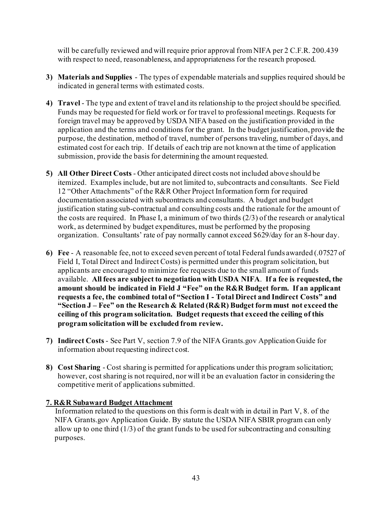will be carefully reviewed and will require prior approval from NIFA per 2 C.F.R. 200.439 with respect to need, reasonableness, and appropriateness for the research proposed.

- **3) Materials and Supplies** The types of expendable materials and supplies required should be indicated in general terms with estimated costs.
- **4) Travel** The type and extent of travel and its relationship to the project should be specified. Funds may be requested for field work or for travel to professional meetings. Requests for foreign travel may be approved by USDA NIFA based on the justification provided in the application and the terms and conditions for the grant. In the budget justification, provide the purpose, the destination, method of travel, number of persons traveling, number of days, and estimated cost for each trip. If details of each trip are not known at the time of application submission, provide the basis for determining the amount requested.
- **5) All Other Direct Costs** Other anticipated direct costs not included above should be itemized. Examples include, but are not limited to, subcontracts and consultants. See Field 12 "Other Attachments" of the R&R Other Project Information form for required documentation associated with subcontracts and consultants. A budget and budget justification stating sub-contractual and consulting costs and the rationale for the amount of the costs are required. In Phase I, a minimum of two thirds (2/3) of the research or analytical work, as determined by budget expenditures, must be performed by the proposing organization. Consultants' rate of pay normally cannot exceed \$629/day for an 8-hour day.
- **6) Fee** A reasonable fee, not to exceed seven percent of total Federal funds awarded (.07527 of Field I, Total Direct and Indirect Costs) is permitted under this program solicitation, but applicants are encouraged to minimize fee requests due to the small amount of funds available. **All fees are subject to negotiation with USDA NIFA**. **If a fee is requested, the amount should be indicated in Field J "Fee" on the R&R Budget form. If an applicant requests a fee, the combined total of "Section I - Total Direct and Indirect Costs" and "Section J – Fee" on the Research & Related (R&R) Budget form must not exceed the ceiling of this program solicitation. Budget requests that exceed the ceiling of this program solicitation will be excluded from review.**
- **7) Indirect Costs** See Part V, section 7.9 of the NIFA Grants.gov Application Guide for information about requesting indirect cost.
- **8) Cost Sharing** Cost sharing is permitted for applications under this program solicitation; however, cost sharing is not required, nor will it be an evaluation factor in considering the competitive merit of applications submitted.

## **7. R&R Subaward Budget Attachment**

Information related to the questions on this formis dealt with in detail in Part V, 8. of the NIFA Grants.gov Application Guide. By statute the USDA NIFA SBIR program can only allow up to one third (1/3) of the grant funds to be used for subcontracting and consulting purposes.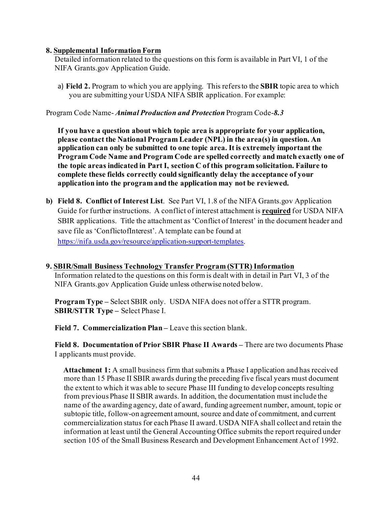#### **8. Supplemental Information Form**

Detailed information related to the questions on this form is available in Part VI, 1 of the NIFA Grants.gov Application Guide.

a) **Field 2.** Program to which you are applying. This refers to the **SBIR** topic area to which you are submitting your USDA NIFA SBIR application. For example:

Program Code Name- *Animal Production and Protection* Program Code-*8.3*

**If you have a question about which topic area is appropriate for your application, please contact the National Program Leader (NPL) in the area(s) in question. An application can only be submitted to one topic area. It is extremely important the Program Code Name and Program Code are spelled correctly and match exactly one of the topic areas indicated in Part I, section C of this program solicitation. Failure to complete these fields correctly could significantly delay the acceptance of your application into the program and the application may not be reviewed.**

**b) Field 8. Conflict of Interest List**. See Part VI, 1.8 of the NIFA Grants.gov Application Guide for further instructions. A conflict of interest attachment is **required** for USDA NIFA SBIR applications. Title the attachment as 'Conflict of Interest' in the document header and save file as 'ConflictofInterest'. A template can be found at <https://nifa.usda.gov/resource/application-support-templates>.

#### **9. SBIR/Small Business Technology Transfer Program (STTR) Information** Information related to the questions on this form is dealt with in detail in Part VI, 3 of the NIFA Grants.gov Application Guide unless otherwise noted below.

**Program Type –** Select SBIR only. USDA NIFA does not offer a STTR program. **SBIR/STTR Type –** Select Phase I.

**Field 7. Commercialization Plan –** Leave this section blank.

**Field 8. Documentation of Prior SBIR Phase II Awards –** There are two documents Phase I applicants must provide.

**Attachment 1:** A small business firm that submits a Phase I application and has received more than 15 Phase II SBIR awards during the preceding five fiscal years must document the extent to which it was able to secure Phase III funding to develop concepts resulting from previous Phase II SBIR awards. In addition, the documentation must include the name of the awarding agency, date of award, funding agreement number, amount, topic or subtopic title, follow-on agreement amount, source and date of commitment, and current commercialization status for each Phase II award. USDA NIFA shall collect and retain the information at least until the General Accounting Office submits the report required under section 105 of the Small Business Research and Development Enhancement Act of 1992.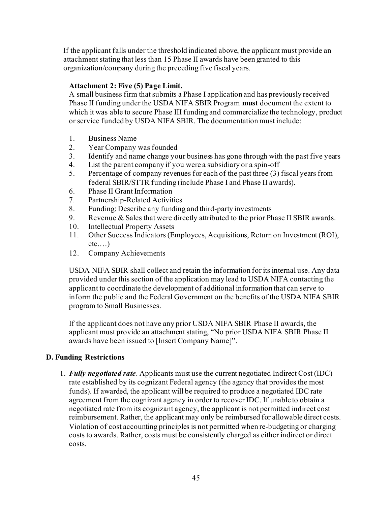If the applicant falls under the threshold indicated above, the applicant must provide an attachment stating that less than 15 Phase II awards have been granted to this organization/company during the preceding five fiscal years.

# **Attachment 2: Five (5) Page Limit.**

A small business firm that submits a Phase I application and has previously received Phase II funding under the USDA NIFA SBIR Program **must** document the extent to which it was able to secure Phase III funding and commercialize the technology, product or service funded by USDA NIFA SBIR. The documentation must include:

- 1. Business Name
- 2. Year Company was founded
- 3. Identify and name change your business has gone through with the past five years
- 4. List the parent company if you were a subsidiary or a spin-off
- 5. Percentage of company revenues for each of the past three (3) fiscal years from federal SBIR/STTR funding (include Phase I and Phase II awards).
- 6. Phase II Grant Information
- 7. Partnership-Related Activities
- 8. Funding: Describe any funding and third-party investments
- 9. Revenue & Sales that were directly attributed to the prior Phase II SBIR awards.
- 10. Intellectual Property Assets
- 11. Other Success Indicators (Employees, Acquisitions, Return on Investment (ROI),  $etc...$ )
- 12. Company Achievements

USDA NIFA SBIR shall collect and retain the information for its internal use. Any data provided under this section of the application may lead to USDA NIFA contacting the applicant to coordinate the development of additional information that can serve to inform the public and the Federal Government on the benefits of the USDA NIFA SBIR program to Small Businesses.

If the applicant does not have any prior USDA NIFA SBIR Phase II awards, the applicant must provide an attachment stating, "No prior USDA NIFA SBIR Phase II awards have been issued to [Insert Company Name]".

## <span id="page-44-0"></span>**D. Funding Restrictions**

1. *Fully negotiated rate*. Applicants must use the current negotiated Indirect Cost (IDC) rate established by its cognizant Federal agency (the agency that provides the most funds). If awarded, the applicant will be required to produce a negotiated IDC rate agreement from the cognizant agency in order to recover IDC. If unable to obtain a negotiated rate from its cognizant agency, the applicant is not permitted indirect cost reimbursement. Rather, the applicant may only be reimbursed for allowable direct costs. Violation of cost accounting principles is not permitted when re-budgeting or charging costs to awards. Rather, costs must be consistently charged as either indirect or direct costs.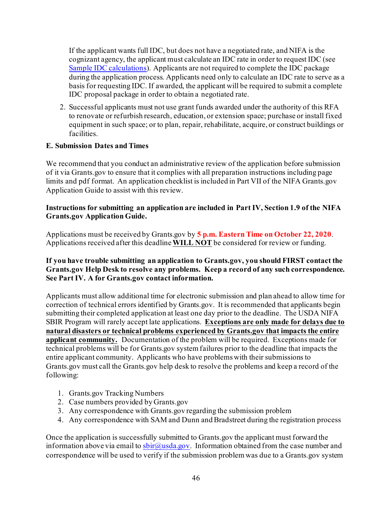If the applicant wants full IDC, but does not have a negotiated rate, and NIFA is the cognizant agency, the applicant must calculate an IDC rate in order to request IDC (see [Sample IDC calculations](https://nifa.usda.gov/indirect-costs)). Applicants are not required to complete the IDC package during the application process. Applicants need only to calculate an IDC rate to serve as a basis for requesting IDC. If awarded, the applicant will be required to submit a complete IDC proposal package in order to obtain a negotiated rate.

2. Successful applicants must not use grant funds awarded under the authority of this RFA to renovate or refurbish research, education, or extension space; purchase or install fixed equipment in such space; or to plan, repair, rehabilitate, acquire, or construct buildings or facilities.

# <span id="page-45-0"></span>**E. Submission Dates and Times**

We recommend that you conduct an administrative review of the application before submission of it via Grants.gov to ensure that it complies with all preparation instructions including page limits and pdf format. An application checklist is included in Part VII of the NIFA Grants.gov Application Guide to assist with this review.

# **Instructions for submitting an application are included in Part IV, Section 1.9 of the NIFA Grants.gov Application Guide.**

Applications must be received by Grants.gov by **5 p.m. Eastern Time on October 22, 2020**. Applications received after this deadline **WILL NOT** be considered for review or funding.

## **If you have trouble submitting an application to Grants.gov, you should FIRST contact the Grants.gov Help Desk to resolve any problems. Keep a record of any such correspondence. See Part IV. A for Grants.gov contact information.**

Applicants must allow additional time for electronic submission and plan ahead to allow time for correction of technical errors identified by Grants.gov. It is recommended that applicants begin submitting their completed application at least one day prior to the deadline. The USDA NIFA SBIR Program will rarely accept late applications. **Exceptions are only made for delays due to natural disasters or technical problems experienced by Grants.gov that impacts the entire applicant community.** Documentation of the problem will be required. Exceptions made for technical problems will be for Grants.gov system failures prior to the deadline that impacts the entire applicant community. Applicants who have problems with their submissions to Grants.gov must call the Grants.gov help desk to resolve the problems and keep a record of the following:

- 1. Grants.gov Tracking Numbers
- 2. Case numbers provided by Grants.gov
- 3. Any correspondence with Grants.gov regarding the submission problem
- 4. Any correspondence with SAM and Dunn and Bradstreet during the registration process

Once the application is successfully submitted to Grants.gov the applicant must forward the information above via email to  $sbin@u sda.gov$ . Information obtained from the case number and correspondence will be used to verify if the submission problem was due to a Grants.gov system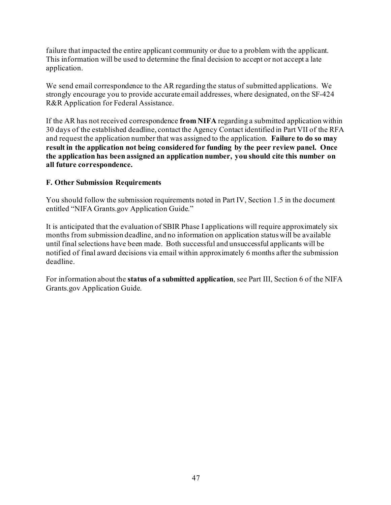failure that impacted the entire applicant community or due to a problem with the applicant. This information will be used to determine the final decision to accept or not accept a late application.

We send email correspondence to the AR regarding the status of submitted applications. We strongly encourage you to provide accurate email addresses, where designated, on the SF-424 R&R Application for Federal Assistance.

If the AR has not received correspondence **from NIFA** regarding a submitted application within 30 days of the established deadline, contact the Agency Contact identified in Part VII of the RFA and request the application number that was assigned to the application. **Failure to do so may result in the application not being considered for funding by the peer review panel. Once the application has been assigned an application number, you should cite this number on all future correspondence.**

## <span id="page-46-0"></span>**F. Other Submission Requirements**

You should follow the submission requirements noted in Part IV, Section 1.5 in the document entitled "NIFA Grants.gov Application Guide."

It is anticipated that the evaluation of SBIR Phase I applications will require approximately six months from submission deadline, and no information on application status will be available until final selections have been made. Both successful and unsuccessful applicants will be notified of final award decisions via email within approximately 6 months after the submission deadline.

For information about the **status of a submitted application**, see Part III, Section 6 of the NIFA Grants.gov Application Guide.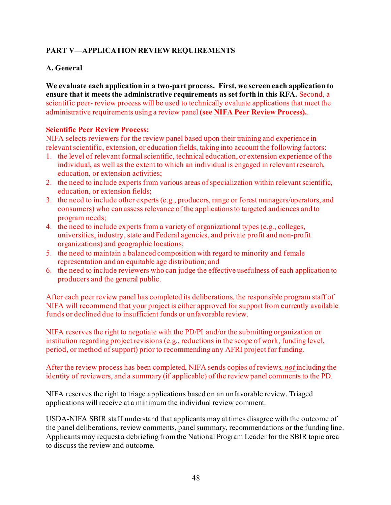# <span id="page-47-0"></span>**PART V—APPLICATION REVIEW REQUIREMENTS**

## <span id="page-47-1"></span>**A. General**

**We evaluate each application in a two-part process. First, we screen each application to ensure that it meets the administrative requirements as set forth in this RFA.** Second, a scientific peer- review process will be used to technically evaluate applications that meet the administrative requirements using a review panel **(se[e NIFA Peer Review Process](https://nifa.usda.gov/sites/default/files/resource/NIFA-Peer-Review-Process-for-Competitive-Grant-Applications_0.pdf)).**.

#### **Scientific Peer Review Process:**

NIFA selects reviewers for the review panel based upon their training and experience in relevant scientific, extension, or education fields, taking into account the following factors:

- 1. the level of relevant formal scientific, technical education, or extension experience of the individual, as well as the extent to which an individual is engaged in relevant research, education, or extension activities;
- 2. the need to include experts from various areas of specialization within relevant scientific, education, or extension fields;
- 3. the need to include other experts (e.g., producers, range or forest managers/operators, and consumers) who can assess relevance of the applications to targeted audiences and to program needs;
- 4. the need to include experts from a variety of organizational types (e.g., colleges, universities, industry, state and Federal agencies, and private profit and non-profit organizations) and geographic locations;
- 5. the need to maintain a balanced composition with regard to minority and female representation and an equitable age distribution; and
- 6. the need to include reviewers who can judge the effective usefulness of each application to producers and the general public.

After each peer review panel has completed its deliberations, the responsible program staff of NIFA will recommend that your project is either approved for support from currently available funds or declined due to insufficient funds or unfavorable review.

NIFA reserves the right to negotiate with the PD/PI and/or the submitting organization or institution regarding project revisions (e.g., reductions in the scope of work, funding level, period, or method of support) prior to recommending any AFRI project for funding.

After the review process has been completed, NIFA sends copies of reviews, *not* including the identity of reviewers, and a summary (if applicable) of the review panel comments to the PD.

NIFA reserves the right to triage applications based on an unfavorable review. Triaged applications will receive at a minimum the individual review comment.

USDA-NIFA SBIR staff understand that applicants may at times disagree with the outcome of the panel deliberations, review comments, panel summary, recommendations or the funding line. Applicants may request a debriefing from the National Program Leader for the SBIR topic area to discuss the review and outcome.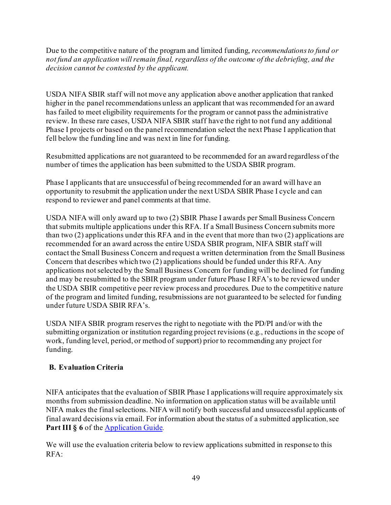Due to the competitive nature of the program and limited funding, *recommendations to fund or not fund an application will remain final, regardless of the outcome of the debriefing, and the decision cannot be contested by the applicant.* 

USDA NIFA SBIR staff will not move any application above another application that ranked higher in the panel recommendations unless an applicant that was recommended for an award has failed to meet eligibility requirements for the program or cannot pass the administrative review. In these rare cases, USDA NIFA SBIR staff have the right to not fund any additional Phase I projects or based on the panel recommendation select the next Phase I application that fell below the funding line and was next in line for funding.

Resubmitted applications are not guaranteed to be recommended for an award regardless of the number of times the application has been submitted to the USDA SBIR program.

Phase I applicants that are unsuccessful of being recommended for an award will have an opportunity to resubmit the application under the next USDA SBIR Phase I cycle and can respond to reviewer and panel comments at that time.

USDA NIFA will only award up to two (2) SBIR Phase I awards per Small Business Concern that submits multiple applications under this RFA. If a Small Business Concern submits more than two (2) applications under this RFA and in the event that more than two (2) applications are recommended for an award across the entire USDA SBIR program, NIFA SBIR staff will contact the Small Business Concern and request a written determination from the Small Business Concern that describes which two (2) applications should be funded under this RFA. Any applications not selected by the Small Business Concern for funding will be declined for funding and may be resubmitted to the SBIR program under future Phase I RFA's to be reviewed under the USDA SBIR competitive peer review process and procedures. Due to the competitive nature of the program and limited funding, resubmissions are not guaranteed to be selected for funding under future USDA SBIR RFA's.

USDA NIFA SBIR program reserves the right to negotiate with the PD/PI and/or with the submitting organization or institution regarding project revisions (e.g., reductions in the scope of work, funding level, period, or method of support) prior to recommending any project for funding.

# <span id="page-48-0"></span>**B. Evaluation Criteria**

NIFA anticipates that the evaluation of SBIR Phase I applications will require approximately six months from submission deadline. No information on application status will be available until NIFA makes the final selections. NIFA will notify both successful and unsuccessful applicants of final award decisions via email. For information about the status of a submitted application, see Part III § 6 of th[e Application Guide.](https://apply07.grants.gov/apply/opportunities/instructions/PKG00249520-instructions.pdf)

We will use the evaluation criteria below to review applications submitted in response to this RFA: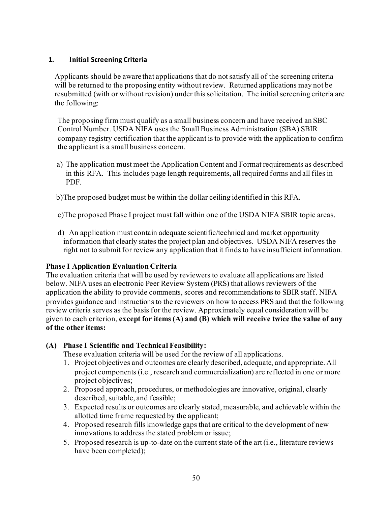# **1. Initial Screening Criteria**

Applicants should be aware that applications that do not satisfy all of the screening criteria will be returned to the proposing entity without review. Returned applications may not be resubmitted (with or without revision) under this solicitation. The initial screening criteria are the following:

The proposing firm must qualify as a small business concern and have received an SBC Control Number. USDA NIFA uses the Small Business Administration (SBA) SBIR company registry certification that the applicant is to provide with the application to confirm the applicant is a small business concern.

a) The application must meet the Application Content and Format requirements as described in this RFA. This includes page length requirements, all required forms and all files in PDF.

b)The proposed budget must be within the dollar ceiling identified in this RFA.

c)The proposed Phase I project must fall within one of the USDA NIFA SBIR topic areas.

d) An application must contain adequate scientific/technical and market opportunity information that clearly states the project plan and objectives. USDA NIFA reserves the right not to submit for review any application that it finds to have insufficient information.

## **Phase I Application Evaluation Criteria**

The evaluation criteria that will be used by reviewers to evaluate all applications are listed below. NIFA uses an electronic Peer Review System (PRS) that allows reviewers of the application the ability to provide comments, scores and recommendations to SBIR staff. NIFA provides guidance and instructions to the reviewers on how to access PRS and that the following review criteria serves as the basis for the review. Approximately equal consideration will be given to each criterion, **except for items (A) and (B) which will receive twice the value of any of the other items:**

# **(A) Phase I Scientific and Technical Feasibility:**

These evaluation criteria will be used for the review of all applications.

- 1. Project objectives and outcomes are clearly described, adequate, and appropriate. All project components (i.e., research and commercialization) are reflected in one or more project objectives;
- 2. Proposed approach, procedures, or methodologies are innovative, original, clearly described, suitable, and feasible;
- 3. Expected results or outcomes are clearly stated, measurable, and achievable within the allotted time frame requested by the applicant;
- 4. Proposed research fills knowledge gaps that are critical to the development of new innovations to address the stated problem or issue;
- 5. Proposed research is up-to-date on the current state of the art (i.e., literature reviews have been completed);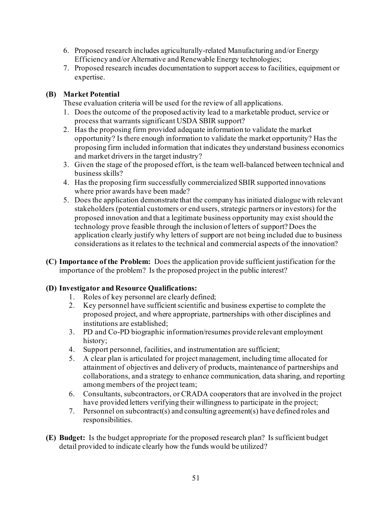- 6. Proposed research includes agriculturally-related Manufacturing and/or Energy Efficiency and/or Alternative and Renewable Energy technologies;
- 7. Proposed research incudes documentation to support access to facilities, equipment or expertise.

# **(B) Market Potential**

These evaluation criteria will be used for the review of all applications.

- 1. Does the outcome of the proposed activity lead to a marketable product, service or process that warrants significant USDA SBIR support?
- 2. Has the proposing firm provided adequate information to validate the market opportunity? Is there enough information to validate the market opportunity? Has the proposing firm included information that indicates they understand business economics and market drivers in the target industry?
- 3. Given the stage of the proposed effort, is the team well-balanced between technical and business skills?
- 4. Has the proposing firm successfully commercialized SBIR supported innovations where prior awards have been made?
- 5. Does the application demonstrate that the company has initiated dialogue with relevant stakeholders (potential customers or end users, strategic partners or investors) for the proposed innovation and that a legitimate business opportunity may exist should the technology prove feasible through the inclusion of letters of support? Does the application clearly justify why letters of support are not being included due to business considerations as it relates to the technical and commercial aspects of the innovation?
- **(C) Importance of the Problem:** Does the application provide sufficient justification for the importance of the problem? Is the proposed project in the public interest?

# **(D) Investigator and Resource Qualifications:**

- 1. Roles of key personnel are clearly defined;
- 2. Key personnel have sufficient scientific and business expertise to complete the proposed project, and where appropriate, partnerships with other disciplines and institutions are established;
- 3. PD and Co-PD biographic information/resumes provide relevant employment history;
- 4. Support personnel, facilities, and instrumentation are sufficient;
- 5. A clear plan is articulated for project management, including time allocated for attainment of objectives and delivery of products, maintenance of partnerships and collaborations, and a strategy to enhance communication, data sharing, and reporting among members of the project team;
- 6. Consultants, subcontractors, or CRADA cooperators that are involved in the project have provided letters verifying their willingness to participate in the project;
- 7. Personnel on subcontract(s) and consulting agreement(s) have defined roles and responsibilities.
- **(E) Budget:** Is the budget appropriate for the proposed research plan? Is sufficient budget detail provided to indicate clearly how the funds would be utilized?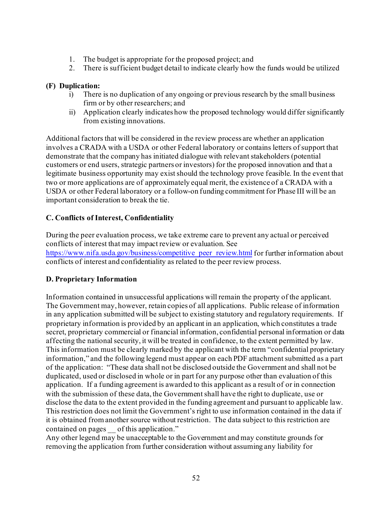- 1. The budget is appropriate for the proposed project; and
- 2. There is sufficient budget detail to indicate clearly how the funds would be utilized

# **(F) Duplication:**

- i) There is no duplication of any ongoing or previous research by the small business firm or by other researchers; and
- ii) Application clearly indicates how the proposed technology would differ significantly from existing innovations.

Additional factors that will be considered in the review process are whether an application involves a CRADA with a USDA or other Federal laboratory or contains letters of support that demonstrate that the company has initiated dialogue with relevant stakeholders (potential customers or end users, strategic partners or investors) for the proposed innovation and that a legitimate business opportunity may exist should the technology prove feasible. In the event that two or more applications are of approximately equal merit, the existence of a CRADA with a USDA or other Federal laboratory or a follow-on funding commitment for Phase III will be an important consideration to break the tie.

# <span id="page-51-0"></span>**C. Conflicts of Interest, Confidentiality**

During the peer evaluation process, we take extreme care to prevent any actual or perceived conflicts of interest that may impact review or evaluation. See https://www.nifa.usda.gov/business/competitive peer review.html for further information about conflicts of interest and confidentiality as related to the peer review process.

# <span id="page-51-1"></span>**D. Proprietary Information**

Information contained in unsuccessful applications will remain the property of the applicant. The Government may, however, retain copies of all applications. Public release of information in any application submitted will be subject to existing statutory and regulatory requirements. If proprietary information is provided by an applicant in an application, which constitutes a trade secret, proprietary commercial or financial information, confidential personal information or data affecting the national security, it will be treated in confidence, to the extent permitted by law. This information must be clearly marked by the applicant with the term "confidential proprietary information," and the following legend must appear on each PDF attachment submitted as a part of the application: "These data shall not be disclosed outside the Government and shall not be duplicated, used or disclosed in whole or in part for any purpose other than evaluation of this application. If a funding agreement is awarded to this applicant as a result of or in connection with the submission of these data, the Government shall have the right to duplicate, use or disclose the data to the extent provided in the funding agreement and pursuant to applicable law. This restriction does not limit the Government's right to use information contained in the data if it is obtained from another source without restriction. The data subject to this restriction are contained on pages of this application."

Any other legend may be unacceptable to the Government and may constitute grounds for removing the application from further consideration without assuming any liability for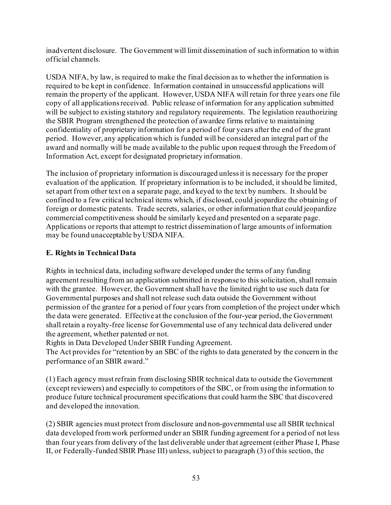inadvertent disclosure. The Government will limit dissemination of such information to within official channels.

USDA NIFA, by law, is required to make the final decision as to whether the information is required to be kept in confidence. Information contained in unsuccessful applications will remain the property of the applicant. However, USDA NIFA will retain for three years one file copy of all applications received. Public release of information for any application submitted will be subject to existing statutory and regulatory requirements. The legislation reauthorizing the SBIR Program strengthened the protection of awardee firms relative to maintaining confidentiality of proprietary information for a period of four years after the end of the grant period. However, any application which is funded will be considered an integral part of the award and normally will be made available to the public upon request through the Freedom of Information Act, except for designated proprietary information.

The inclusion of proprietary information is discouraged unless it is necessary for the proper evaluation of the application. If proprietary information is to be included, it should be limited, set apart from other text on a separate page, and keyed to the text by numbers. It should be confined to a few critical technical items which, if disclosed, could jeopardize the obtaining of foreign or domestic patents. Trade secrets, salaries, or other information that could jeopardize commercial competitiveness should be similarly keyed and presented on a separate page. Applications or reports that attempt to restrict dissemination of large amounts of information may be found unacceptable by USDA NIFA.

# <span id="page-52-0"></span>**E. Rights in Technical Data**

Rights in technical data, including software developed under the terms of any funding agreement resulting from an application submitted in response to this solicitation, shall remain with the grantee. However, the Government shall have the limited right to use such data for Governmental purposes and shall not release such data outside the Government without permission of the grantee for a period of four years from completion of the project under which the data were generated. Effective at the conclusion of the four-year period, the Government shall retain a royalty-free license for Governmental use of any technical data delivered under the agreement, whether patented or not.

Rights in Data Developed Under SBIR Funding Agreement.

The Act provides for "retention by an SBC of the rights to data generated by the concern in the performance of an SBIR award."

(1) Each agency must refrain from disclosing SBIR technical data to outside the Government (except reviewers) and especially to competitors of the SBC, or from using the information to produce future technical procurement specifications that could harm the SBC that discovered and developed the innovation.

(2) SBIR agencies must protect from disclosure and non-governmental use all SBIR technical data developed from work performed under an SBIR funding agreement for a period of not less than four years from delivery of the last deliverable under that agreement (either Phase I, Phase II, or Federally-funded SBIR Phase III) unless, subject to paragraph (3) of this section, the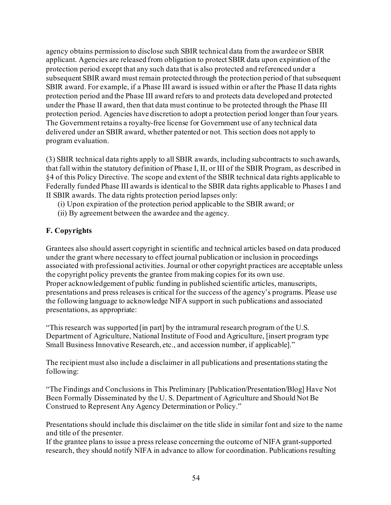agency obtains permission to disclose such SBIR technical data from the awardee or SBIR applicant. Agencies are released from obligation to protect SBIR data upon expiration of the protection period except that any such data that is also protected and referenced under a subsequent SBIR award must remain protected through the protection period of that subsequent SBIR award. For example, if a Phase III award is issued within or after the Phase II data rights protection period and the Phase III award refers to and protects data developed and protected under the Phase II award, then that data must continue to be protected through the Phase III protection period. Agencies have discretion to adopt a protection period longer than four years. The Government retains a royalty-free license for Government use of any technical data delivered under an SBIR award, whether patented or not. This section does not apply to program evaluation.

(3) SBIR technical data rights apply to all SBIR awards, including subcontracts to such awards, that fall within the statutory definition of Phase I, II, or III of the SBIR Program, as described in §4 of this Policy Directive. The scope and extent of the SBIR technical data rights applicable to Federally funded Phase III awards is identical to the SBIR data rights applicable to Phases I and II SBIR awards. The data rights protection period lapses only:

- (i) Upon expiration of the protection period applicable to the SBIR award; or
- (ii) By agreement between the awardee and the agency.

# <span id="page-53-0"></span>**F. Copyrights**

Grantees also should assert copyright in scientific and technical articles based on data produced under the grant where necessary to effect journal publication or inclusion in proceedings associated with professional activities. Journal or other copyright practices are acceptable unless the copyright policy prevents the grantee from making copies for its own use. Proper acknowledgement of public funding in published scientific articles, manuscripts, presentations and press releases is critical for the success of the agency's programs. Please use the following language to acknowledge NIFA support in such publications and associated presentations, as appropriate:

"This research was supported [in part] by the intramural research program of the U.S. Department of Agriculture, National Institute of Food and Agriculture, [insert program type Small Business Innovative Research, etc., and accession number, if applicable]."

The recipient must also include a disclaimer in all publications and presentations stating the following:

"The Findings and Conclusions in This Preliminary [Publication/Presentation/Blog] Have Not Been Formally Disseminated by the U. S. Department of Agriculture and Should Not Be Construed to Represent Any Agency Determination or Policy."

Presentations should include this disclaimer on the title slide in similar font and size to the name and title of the presenter.

If the grantee plans to issue a press release concerning the outcome of NIFA grant-supported research, they should notify NIFA in advance to allow for coordination. Publications resulting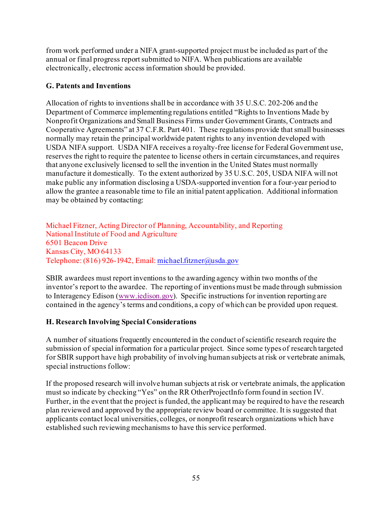from work performed under a NIFA grant-supported project must be included as part of the annual or final progress report submitted to NIFA. When publications are available electronically, electronic access information should be provided.

# <span id="page-54-0"></span>**G. Patents and Inventions**

Allocation of rights to inventions shall be in accordance with 35 U.S.C. 202-206 and the Department of Commerce implementing regulations entitled "Rights to Inventions Made by Nonprofit Organizations and Small Business Firms under Government Grants, Contracts and Cooperative Agreements" at 37 C.F.R. Part 401. These regulations provide that small businesses normally may retain the principal worldwide patent rights to any invention developed with USDA NIFA support. USDA NIFA receives a royalty-free license for Federal Government use, reserves the right to require the patentee to license others in certain circumstances, and requires that anyone exclusively licensed to sell the invention in the United States must normally manufacture it domestically. To the extent authorized by 35 U.S.C. 205, USDA NIFA will not make public any information disclosing a USDA-supported invention for a four-year period to allow the grantee a reasonable time to file an initial patent application. Additional information may be obtained by contacting:

Michael Fitzner, Acting Director of Planning, Accountability, and Reporting National Institute of Food and Agriculture 6501 Beacon Drive Kansas City, MO 64133 Telephone: (816) 926-1942, Email[: michael.fitzner@usda.gov](mailto:michael.fitzner@usda.gov)

SBIR awardees must report inventions to the awarding agency within two months of the inventor's report to the awardee. The reporting of inventions must be made through submission to Interagency Edison [\(www.iedison.gov](http://www.iedison.gov/)). Specific instructions for invention reporting are contained in the agency's terms and conditions, a copy of which can be provided upon request.

# <span id="page-54-1"></span>**H. Research Involving Special Considerations**

A number of situations frequently encountered in the conduct of scientific research require the submission of special information for a particular project. Since some types of research targeted for SBIR support have high probability of involving human subjects at risk or vertebrate animals, special instructions follow:

If the proposed research will involve human subjects at risk or vertebrate animals, the application must so indicate by checking "Yes" on the RR OtherProjectInfo form found in section IV. Further, in the event that the project is funded, the applicant may be required to have the research plan reviewed and approved by the appropriate review board or committee. It is suggested that applicants contact local universities, colleges, or nonprofit research organizations which have established such reviewing mechanisms to have this service performed.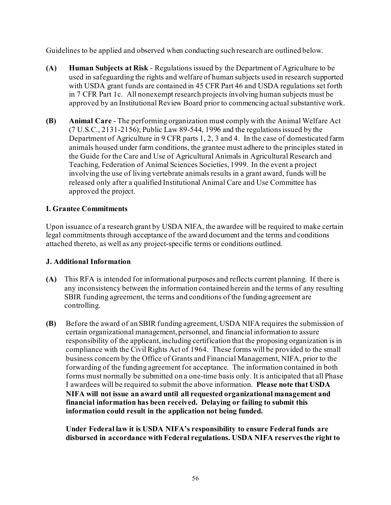Guidelines to be applied and observed when conducting such research are outlined below.

- **(A) Human Subjects at Risk** Regulations issued by the Department of Agriculture to be used in safeguarding the rights and welfare of human subjects used in research supported with USDA grant funds are contained in 45 CFR Part 46 and USDA regulations set forth in 7 CFR Part 1c. All nonexempt research projects involving human subjects must be approved by an Institutional Review Board prior to commencing actual substantive work.
- **(B) Animal Care** The performing organization must comply with the Animal Welfare Act (7 U.S.C., 2131-2156); Public Law 89-544, 1996 and the regulations issued by the Department of Agriculture in 9 CFR parts 1, 2, 3 and 4. In the case of domesticated farm animals housed under farm conditions, the grantee must adhere to the principles stated in the Guide for the Care and Use of Agricultural Animals in Agricultural Research and Teaching, Federation of Animal Sciences Societies, 1999. In the event a project involving the use of living vertebrate animals results in a grant award, funds will be released only after a qualified Institutional Animal Care and Use Committee has approved the project.

# <span id="page-55-0"></span>**I. Grantee Commitments**

Upon issuance of a research grant by USDA NIFA, the awardee will be required to make certain legal commitments through acceptance of the award document and the terms and conditions attached thereto, as well as any project-specific terms or conditions outlined.

# <span id="page-55-1"></span>**J. Additional Information**

- **(A)** This RFA is intended for informational purposes and reflects current planning. If there is any inconsistency between the information contained herein and the terms of any resulting SBIR funding agreement, the terms and conditions of the funding agreement are controlling.
- **(B)** Before the award of an SBIR funding agreement, USDA NIFA requires the submission of certain organizational management, personnel, and financial information to assure responsibility of the applicant, including certification that the proposing organization is in compliance with the Civil Rights Act of 1964. These forms will be provided to the small business concern by the Office of Grants and Financial Management, NIFA, prior to the forwarding of the funding agreement for acceptance. The information contained in both forms must normally be submitted on a one-time basis only. It is anticipated that all Phase I awardees will be required to submit the above information. **Please note that USDA NIFA will not issue an award until all requested organizational management and financial information has been received. Delaying or failing to submit this information could result in the application not being funded.**

**Under Federal law it is USDA NIFA's responsibility to ensure Federal funds are disbursed in accordance with Federal regulations. USDA NIFA reserves the right to**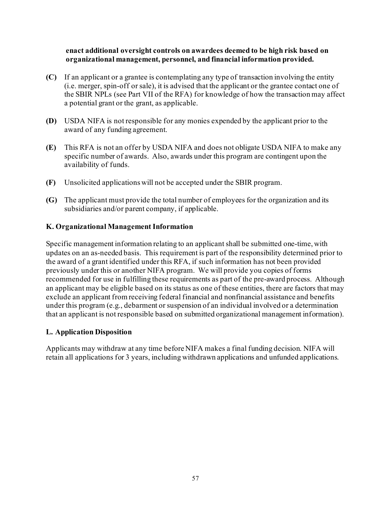#### **enact additional oversight controls on awardees deemed to be high risk based on organizational management, personnel, and financial information provided.**

- **(C)** If an applicant or a grantee is contemplating any type of transaction involving the entity (i.e. merger, spin-off or sale), it is advised that the applicant or the grantee contact one of the SBIR NPLs (see Part VII of the RFA) for knowledge of how the transaction may affect a potential grant or the grant, as applicable.
- **(D)** USDA NIFA is not responsible for any monies expended by the applicant prior to the award of any funding agreement.
- **(E)** This RFA is not an offer by USDA NIFA and does not obligate USDA NIFA to make any specific number of awards. Also, awards under this program are contingent upon the availability of funds.
- **(F)** Unsolicited applications will not be accepted under the SBIR program.
- **(G)** The applicant must provide the total number of employees for the organization and its subsidiaries and/or parent company, if applicable.

#### <span id="page-56-0"></span>**K. Organizational Management Information**

Specific management information relating to an applicant shall be submitted one-time, with updates on an as-needed basis. This requirement is part of the responsibility determined prior to the award of a grant identified under this RFA, if such information has not been provided previously under this or another NIFA program. We will provide you copies of forms recommended for use in fulfilling these requirements as part of the pre-award process. Although an applicant may be eligible based on its status as one of these entities, there are factors that may exclude an applicant from receiving federal financial and nonfinancial assistance and benefits under this program (e.g., debarment or suspension of an individual involved or a determination that an applicant is not responsible based on submitted organizational management information).

#### <span id="page-56-1"></span>**L. Application Disposition**

Applicants may withdraw at any time before NIFA makes a final funding decision. NIFA will retain all applications for 3 years, including withdrawn applications and unfunded applications.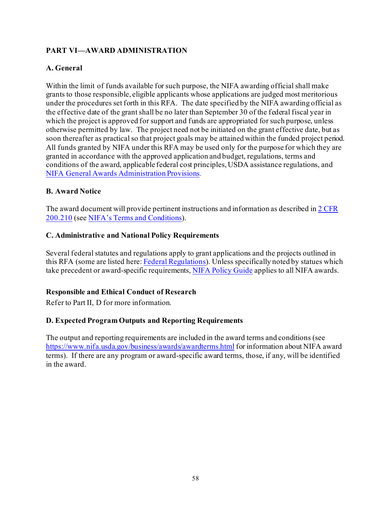# <span id="page-57-0"></span>**PART VI—AWARD ADMINISTRATION**

# <span id="page-57-1"></span>**A. General**

Within the limit of funds available for such purpose, the NIFA awarding official shall make grants to those responsible, eligible applicants whose applications are judged most meritorious under the procedures set forth in this RFA. The date specified by the NIFA awarding official as the effective date of the grant shall be no later than September 30 of the federal fiscal year in which the project is approved for support and funds are appropriated for such purpose, unless otherwise permitted by law. The project need not be initiated on the grant effective date, but as soon thereafter as practical so that project goals may be attained within the funded project period. All funds granted by NIFA under this RFA may be used only for the purpose for which they are granted in accordance with the approved application and budget, regulations, terms and conditions of the award, applicable federal cost principles, USDA assistance regulations, and [NIFA General Awards Administration Provisions.](https://ecfr.io/Title-07/pt7.15.3430)

# <span id="page-57-2"></span>**B. Award Notice**

The award document will provide pertinent instructions and information as described i[n 2 CFR](https://www.ecfr.gov/cgi-bin/text-idx?SID=70b44cfc44976f4a7742464f7cfbb37e&mc=true&node=se2.1.200_1210&rgn=div8)  [200.210](https://www.ecfr.gov/cgi-bin/text-idx?SID=70b44cfc44976f4a7742464f7cfbb37e&mc=true&node=se2.1.200_1210&rgn=div8) (see NIFA's [Terms and Conditions\)](https://nifa.usda.gov/terms-and-conditions).

## <span id="page-57-3"></span>**C. Administrative and National Policy Requirements**

Several federal statutes and regulations apply to grant applications and the projects outlined in this RFA (some are listed here[: Federal Regulations\)](https://nifa.usda.gov/federal-regulations). Unless specifically noted by statues which take precedent or award-specific requirements[, NIFA Policy Guide](https://nifa.usda.gov/policy-guide) applies to all NIFA awards.

## **Responsible and Ethical Conduct of Research**

Refer to Part II, D for more information.

## <span id="page-57-4"></span>**D. Expected Program Outputs and Reporting Requirements**

The output and reporting requirements are included in the award terms and conditions (see <https://www.nifa.usda.gov/business/awards/awardterms.html> for information about NIFA award terms). If there are any program or award-specific award terms, those, if any, will be identified in the award.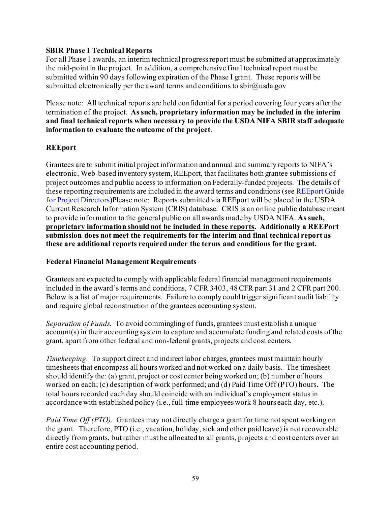#### **SBIR Phase I Technical Reports**

For all Phase I awards, an interim technical progress report must be submitted at approximately the mid-point in the project. In addition, a comprehensive final technical report must be submitted within 90 days following expiration of the Phase I grant. These reports will be submitted electronically per the award terms and conditions to sbir $\omega$ usda.gov

Please note: All technical reports are held confidential for a period covering four years after the termination of the project. **As such, proprietary information may be included in the interim and final technical reports when necessary to provide the USDA NIFA SBIR staff adequate information to evaluate the outcome of the project**.

## **REEport**

Grantees are to submit initial project information and annual and summary reports to NIFA's electronic, Web-based inventory system, REEport, that facilitates both grantee submissions of project outcomes and public access to information on Federally-funded projects. The details of these reporting requirements are included in the award terms and conditions (se[e REEport Guide](https://nifa.usda.gov/resource/reeport-guide-project-directors)  [for Project Directors\)](https://nifa.usda.gov/resource/reeport-guide-project-directors)Please note: Reports submitted via REEport will be placed in the USDA Current Research Information System (CRIS) database. CRIS is an online public database meant to provide information to the general public on all awards made by USDA NIFA. **As such, proprietary information should not be included in these reports. Additionally a REEPort submission does not meet the requirements for the interim and final technical report as these are additional reports required under the terms and conditions for the grant.**

## **Federal Financial Management Requirements**

Grantees are expected to comply with applicable federal financial management requirements included in the award's terms and conditions, 7 CFR 3403, 48 CFR part 31 and 2 CFR part 200. Below is a list of major requirements. Failure to comply could trigger significant audit liability and require global reconstruction of the grantees accounting system.

*Separation of Funds*. To avoid commingling of funds, grantees must establish a unique account(s) in their accounting system to capture and accumulate funding and related costs of the grant, apart from other federal and non-federal grants, projects and cost centers.

*Timekeeping.* To support direct and indirect labor charges, grantees must maintain hourly timesheets that encompass all hours worked and not worked on a daily basis. The timesheet should identify the: (a) grant, project or cost center being worked on; (b) number of hours worked on each; (c) description of work performed; and (d) Paid Time Off (PTO) hours. The total hours recorded each day should coincide with an individual's employment status in accordance with established policy (i.e., full-time employees work 8 hours each day, etc.).

*Paid Time Off (PTO)*. Grantees may not directly charge a grant for time not spent working on the grant. Therefore, PTO (i.e., vacation, holiday, sick and other paid leave) is not recoverable directly from grants, but rather must be allocated to all grants, projects and cost centers over an entire cost accounting period.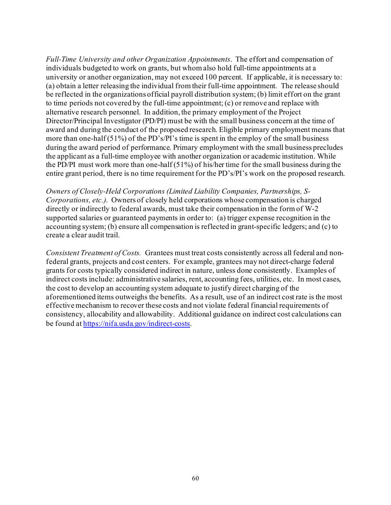*Full-Time University and other Organization Appointments*. The effort and compensation of individuals budgeted to work on grants, but whom also hold full-time appointments at a university or another organization, may not exceed 100 percent. If applicable, it is necessary to: (a) obtain a letter releasing the individual from their full-time appointment. The release should be reflected in the organizations official payroll distribution system; (b) limit effort on the grant to time periods not covered by the full-time appointment; (c) or remove and replace with alternative research personnel. In addition, the primary employment of the Project Director/Principal Investigator (PD/PI) must be with the small business concern at the time of award and during the conduct of the proposed research. Eligible primary employment means that more than one-half (51%) of the PD's/PI's time is spent in the employ of the small business during the award period of performance. Primary employment with the small business precludes the applicant as a full-time employee with another organization or academic institution. While the PD/PI must work more than one-half (51%) of his/her time for the small business during the entire grant period, there is no time requirement for the PD's/PI's work on the proposed research.

*Owners of Closely-Held Corporations (Limited Liability Companies, Partnerships, S-Corporations, etc.).* Owners of closely held corporations whose compensation is charged directly or indirectly to federal awards, must take their compensation in the form of W-2 supported salaries or guaranteed payments in order to: (a) trigger expense recognition in the accounting system; (b) ensure all compensation is reflected in grant-specific ledgers; and (c) to create a clear audit trail.

*Consistent Treatment of Costs.* Grantees must treat costs consistently across all federal and nonfederal grants, projects and cost centers. For example, grantees may not direct-charge federal grants for costs typically considered indirect in nature, unless done consistently. Examples of indirect costs include: administrative salaries, rent, accounting fees, utilities, etc. In most cases, the cost to develop an accounting system adequate to justify direct charging of the aforementioned items outweighs the benefits. As a result, use of an indirect cost rate is the most effective mechanism to recover these costs and not violate federal financial requirements of consistency, allocability and allowability. Additional guidance on indirect cost calculations can be found a[t https://nifa.usda.gov/indirect-costs](https://nifa.usda.gov/indirect-costs).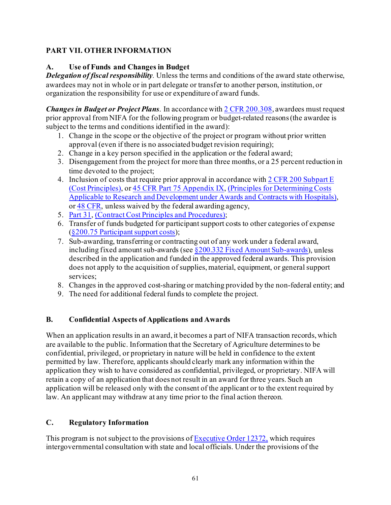# <span id="page-60-0"></span>**PART VII. OTHER INFORMATION**

# <span id="page-60-1"></span>**A. Use of Funds and Changes in Budget**

*Delegation of fiscal responsibility.* Unless the terms and conditions of the award state otherwise, awardees may not in whole or in part delegate or transfer to another person, institution, or organization the responsibility for use or expenditure of award funds.

*Changes in Budget or Project Plans*. In accordance wit[h 2 CFR 200.308](https://www.ecfr.gov/cgi-bin/text-idx?SID=3af89506559b05297e7d0334cb283e24&mc=true&node=se2.1.200_1308&rgn=div8), awardees must request prior approval from NIFA for the following program or budget-related reasons(the awardee is subject to the terms and conditions identified in the award):

- 1. Change in the scope or the objective of the project or program without prior written approval (even if there is no associated budget revision requiring);
- 2. Change in a key person specified in the application or the federal award;
- 3. Disengagement from the project for more than three months, or a 25 percent reduction in time devoted to the project;
- 4. Inclusion of costs that require prior approval in accordance wit[h 2 CFR 200](https://ecfr.io/Title-02/sp2.1.200.e) Subpart E (Cost Principles), or [45 CFR Part 75 Appendix IX](https://www.ecfr.gov/cgi-bin/text-idx?node=pt45.1.75#ap45.1.75_1521.ix), (Principles for Determining Costs Applicable to Research and Development under Awards and Contracts with Hospitals), or [48 CFR, unless waived by the federal awarding agency,](https://ecfr.io/Title-48/cfr31_main)
- 5. [Part 31,](https://ecfr.io/Title-48/cfr31_main) (Contract Cost Principles and Procedures);
- 6. Transfer of funds budgeted for participant support costs to other categories of expense [\(§200.75 Participant support costs](http://federal.elaws.us/cfr/title2.part200.section200.75));
- 7. Sub-awarding, transferring or contracting out of any work under a federal award, including fixed amount sub-awards (see  $\S 200.332$  Fixed Amount Sub-awards), unless described in the application and funded in the approved federal awards. This provision does not apply to the acquisition of supplies, material, equipment, or general support services;
- 8. Changes in the approved cost-sharing or matching provided by the non-federal entity; and
- 9. The need for additional federal funds to complete the project.

# <span id="page-60-2"></span>**B. Confidential Aspects of Applications and Awards**

When an application results in an award, it becomes a part of NIFA transaction records, which are available to the public. Information that the Secretary of Agriculture determines to be confidential, privileged, or proprietary in nature will be held in confidence to the extent permitted by law. Therefore, applicants should clearly mark any information within the application they wish to have considered as confidential, privileged, or proprietary. NIFA will retain a copy of an application that does not result in an award for three years. Such an application will be released only with the consent of the applicant or to the extent required by law. An applicant may withdraw at any time prior to the final action thereon.

# <span id="page-60-3"></span>**C. Regulatory Information**

This program is not subject to the provisions of  $\frac{\text{Execute Order } 12372}{\text{Order } 12372}$ , which requires intergovernmental consultation with state and local officials. Under the provisions of the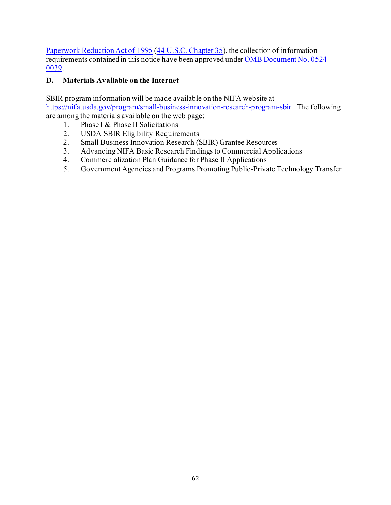[Paperwork Reduction Act of 1995](https://www.reginfo.gov/public/reginfo/pra.pdf) [\(44 U.S.C. Chapter 35](http://uscode.house.gov/view.xhtml?path=/prelim@title44/chapter35&edition=prelim)), the collection of information requirements contained in this notice have been approved unde[r OMB Document No. 0524-](https://www.federalregister.gov/documents/2018/10/29/2018-23552/submission-for-omb-review-comment-request) [0039.](https://www.federalregister.gov/documents/2018/10/29/2018-23552/submission-for-omb-review-comment-request)

# <span id="page-61-0"></span>**D. Materials Available on the Internet**

SBIR program information will be made available on the NIFA website at <https://nifa.usda.gov/program/small-business-innovation-research-program-sbir>. The following are among the materials available on the web page:

- 1. Phase I & Phase II Solicitations
- 2. USDA SBIR Eligibility Requirements
- 2. Small Business Innovation Research (SBIR) Grantee Resources
- 3. Advancing NIFA Basic Research Findings to Commercial Applications
- 4. Commercialization Plan Guidance for Phase II Applications
- 5. Government Agencies and Programs Promoting Public-Private Technology Transfer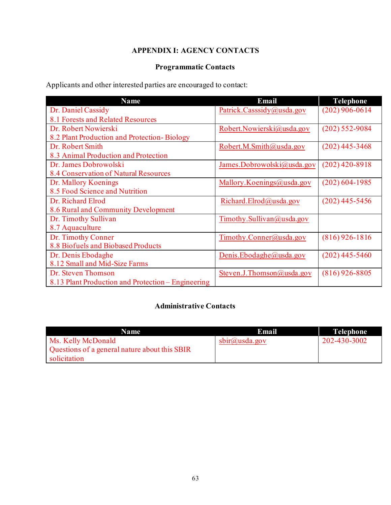# **APPENDIX I: AGENCY CONTACTS**

# **Programmatic Contacts**

<span id="page-62-0"></span>Applicants and other interested parties are encouraged to contact:

| <b>Name</b>                                        | Email                      | <b>Telephone</b> |
|----------------------------------------------------|----------------------------|------------------|
| Dr. Daniel Cassidy                                 | Patrick.Casssidy@usda.gov  | $(202)$ 906-0614 |
| 8.1 Forests and Related Resources                  |                            |                  |
| Dr. Robert Nowierski                               | Robert.Nowierski@usda.gov  | $(202)$ 552-9084 |
| 8.2 Plant Production and Protection-Biology        |                            |                  |
| Dr. Robert Smith                                   | Robert.M.Smith@usda.gov    | $(202)$ 445-3468 |
| 8.3 Animal Production and Protection               |                            |                  |
| Dr. James Dobrowolski                              | James.Dobrowolski@usda.gov | $(202)$ 420-8918 |
| 8.4 Conservation of Natural Resources              |                            |                  |
| Dr. Mallory Koenings                               | Mallory.Koenings@usda.gov  | $(202)$ 604-1985 |
| 8.5 Food Science and Nutrition                     |                            |                  |
| Dr. Richard Elrod                                  | Richard.Elrod@usda.gov     | $(202)$ 445-5456 |
| 8.6 Rural and Community Development                |                            |                  |
| Dr. Timothy Sullivan                               | Timothy.Sullivan@usda.gov  |                  |
| 8.7 Aquaculture                                    |                            |                  |
| Dr. Timothy Conner                                 | Timothy.Conner@usda.gov    | $(816)$ 926-1816 |
| 8.8 Biofuels and Biobased Products                 |                            |                  |
| Dr. Denis Ebodaghe                                 | Denis.Ebodaghe@usda.gov    | $(202)$ 445-5460 |
| 8.12 Small and Mid-Size Farms                      |                            |                  |
| Dr. Steven Thomson                                 | Steven.J.Thomson@usda.gov  | $(816)$ 926-8805 |
| 8.13 Plant Production and Protection – Engineering |                            |                  |

# **Administrative Contacts**

| <b>Name</b>                                   | Email                     | Telephone    |
|-----------------------------------------------|---------------------------|--------------|
| Ms. Kelly McDonald                            | $\text{sbir}(a)$ usda.gov | 202-430-3002 |
| Questions of a general nature about this SBIR |                           |              |
| solicitation                                  |                           |              |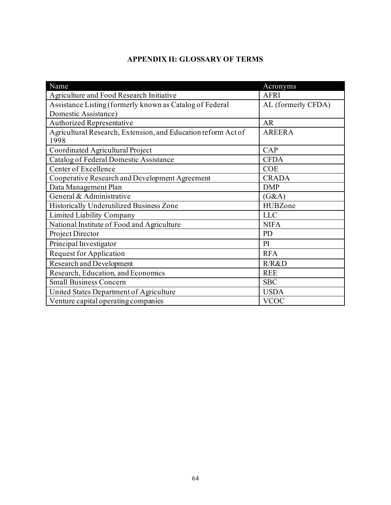# **APPENDIX II: GLOSSARY OF TERMS**

<span id="page-63-0"></span>

| Name                                                                  | Acronyms           |
|-----------------------------------------------------------------------|--------------------|
| Agriculture and Food Research Initiative                              | <b>AFRI</b>        |
| Assistance Listing (formerly known as Catalog of Federal              | AL (formerly CFDA) |
| Domestic Assistance)                                                  |                    |
| Authorized Representative                                             | <b>AR</b>          |
| Agricultural Research, Extension, and Education reform Act of<br>1998 | <b>AREERA</b>      |
| Coordinated Agricultural Project                                      | CAP                |
| Catalog of Federal Domestic Assistance                                | <b>CFDA</b>        |
| Center of Excellence                                                  | <b>COE</b>         |
| Cooperative Research and Development Agreement                        | <b>CRADA</b>       |
| Data Management Plan                                                  | <b>DMP</b>         |
| General & Administrative                                              | (G&A)              |
| Historically Underutilized Business Zone                              | HUBZone            |
| Limited Liability Company                                             | <b>LLC</b>         |
| National Institute of Food and Agriculture                            | <b>NIFA</b>        |
| Project Director                                                      | PD                 |
| Principal Investigator                                                | PI                 |
| <b>Request for Application</b>                                        | <b>RFA</b>         |
| Research and Development                                              | R/R&D              |
| Research, Education, and Economics                                    | <b>REE</b>         |
| <b>Small Business Concern</b>                                         | <b>SBC</b>         |
| United States Department of Agriculture                               | <b>USDA</b>        |
| Venture capital operating companies                                   | <b>VCOC</b>        |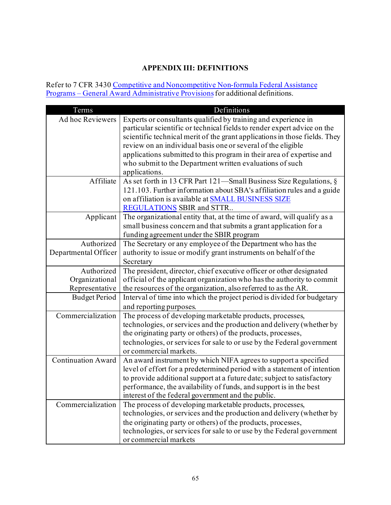# **APPENDIX III: DEFINITIONS**

<span id="page-64-0"></span>Refer to 7 CFR 3430 Competitive and Noncompetitive Non-formula Federal Assistance Programs – [General Award Administrative Provisions](https://www.ecfr.gov/cgi-bin/text-idx?c=ecfr&SID=2a6f6bfbef4c918616eebe5353d0793c&rgn=div5&view=text&node=7:15.1.12.2.13&idno=7#7:15.1.12.2.13.1.17.2) for additional definitions.

| Terms                     | Definitions                                                                |
|---------------------------|----------------------------------------------------------------------------|
| Ad hoc Reviewers          | Experts or consultants qualified by training and experience in             |
|                           | particular scientific or technical fields to render expert advice on the   |
|                           | scientific technical merit of the grant applications in those fields. They |
|                           | review on an individual basis one or several of the eligible               |
|                           | applications submitted to this program in their area of expertise and      |
|                           | who submit to the Department written evaluations of such                   |
|                           | applications.                                                              |
| Affiliate                 | As set forth in 13 CFR Part 121-Small Business Size Regulations, §         |
|                           | 121.103. Further information about SBA's affiliation rules and a guide     |
|                           | on affiliation is available at <b>SMALL BUSINESS SIZE</b>                  |
|                           | REGULATIONS SBIR and STTR                                                  |
| Applicant                 | The organizational entity that, at the time of award, will qualify as a    |
|                           | small business concern and that submits a grant application for a          |
|                           | funding agreement under the SBIR program                                   |
| Authorized                | The Secretary or any employee of the Department who has the                |
| Departmental Officer      | authority to issue or modify grant instruments on behalf of the            |
|                           | Secretary                                                                  |
| Authorized                | The president, director, chief executive officer or other designated       |
| Organizational            | official of the applicant organization who has the authority to commit     |
| Representative            | the resources of the organization, also referred to as the AR.             |
| <b>Budget Period</b>      | Interval of time into which the project period is divided for budgetary    |
|                           | and reporting purposes.                                                    |
| Commercialization         | The process of developing marketable products, processes,                  |
|                           | technologies, or services and the production and delivery (whether by      |
|                           | the originating party or others) of the products, processes,               |
|                           | technologies, or services for sale to or use by the Federal government     |
|                           | or commercial markets.                                                     |
| <b>Continuation Award</b> | An award instrument by which NIFA agrees to support a specified            |
|                           | level of effort for a predetermined period with a statement of intention   |
|                           | to provide additional support at a future date; subject to satisfactory    |
|                           | performance, the availability of funds, and support is in the best         |
|                           | interest of the federal government and the public.                         |
| Commercialization         | The process of developing marketable products, processes,                  |
|                           | technologies, or services and the production and delivery (whether by      |
|                           | the originating party or others) of the products, processes,               |
|                           | technologies, or services for sale to or use by the Federal government     |
|                           | or commercial markets                                                      |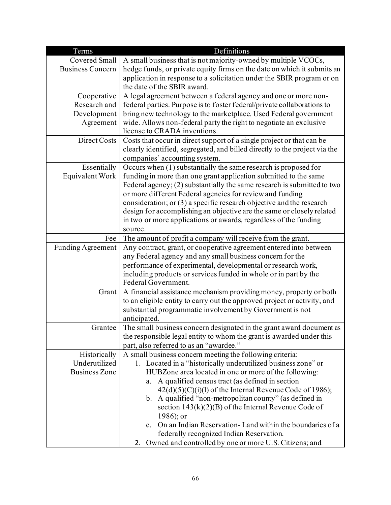| Terms                    | Definitions                                                                                                                     |
|--------------------------|---------------------------------------------------------------------------------------------------------------------------------|
| Covered Small            | A small business that is not majority-owned by multiple VCOCs,                                                                  |
| <b>Business Concern</b>  | hedge funds, or private equity firms on the date on which it submits an                                                         |
|                          | application in response to a solicitation under the SBIR program or on                                                          |
|                          | the date of the SBIR award.                                                                                                     |
| Cooperative              | A legal agreement between a federal agency and one or more non-                                                                 |
| Research and             | federal parties. Purpose is to foster federal/private collaborations to                                                         |
| Development              | bring new technology to the marketplace. Used Federal government                                                                |
| Agreement                | wide. Allows non-federal party the right to negotiate an exclusive                                                              |
|                          | license to CRADA inventions.                                                                                                    |
| Direct Costs             | Costs that occur in direct support of a single project or that can be                                                           |
|                          | clearly identified, segregated, and billed directly to the project via the                                                      |
|                          | companies' accounting system.                                                                                                   |
| Essentially              | Occurs when (1) substantially the same research is proposed for                                                                 |
| Equivalent Work          | funding in more than one grant application submitted to the same                                                                |
|                          | Federal agency; $(2)$ substantially the same research is submitted to two                                                       |
|                          | or more different Federal agencies for review and funding                                                                       |
|                          | consideration; or $(3)$ a specific research objective and the research                                                          |
|                          | design for accomplishing an objective are the same or closely related                                                           |
|                          | in two or more applications or awards, regardless of the funding                                                                |
|                          | source.                                                                                                                         |
| Fee                      | The amount of profit a company will receive from the grant.                                                                     |
| <b>Funding Agreement</b> | Any contract, grant, or cooperative agreement entered into between<br>any Federal agency and any small business concern for the |
|                          | performance of experimental, developmental or research work,                                                                    |
|                          | including products or services funded in whole or in part by the                                                                |
|                          | Federal Government.                                                                                                             |
| Grant                    | A financial assistance mechanism providing money, property or both                                                              |
|                          | to an eligible entity to carry out the approved project or activity, and                                                        |
|                          | substantial programmatic involvement by Government is not                                                                       |
|                          | anticipated.                                                                                                                    |
| Grantee                  | The small business concern designated in the grant award document as                                                            |
|                          | the responsible legal entity to whom the grant is awarded under this                                                            |
|                          | part, also referred to as an "awardee."                                                                                         |
| Historically             | A small business concern meeting the following criteria:                                                                        |
| Underutilized            | 1. Located in a "historically underutilized business zone" or                                                                   |
| <b>Business Zone</b>     | HUBZone area located in one or more of the following:                                                                           |
|                          | A qualified census tract (as defined in section<br>а.                                                                           |
|                          | $42(d)(5)(C)(i)(l)$ of the Internal Revenue Code of 1986);                                                                      |
|                          | b. A qualified "non-metropolitan county" (as defined in                                                                         |
|                          | section $143(k)(2)(B)$ of the Internal Revenue Code of                                                                          |
|                          | $1986$ ; or                                                                                                                     |
|                          | c. On an Indian Reservation-Land within the boundaries of a                                                                     |
|                          | federally recognized Indian Reservation.                                                                                        |
|                          | Owned and controlled by one or more U.S. Citizens; and<br>2.                                                                    |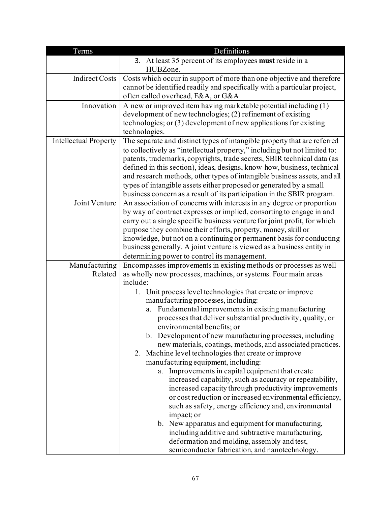| Terms                        | Definitions                                                                                                                                                                                                                 |  |
|------------------------------|-----------------------------------------------------------------------------------------------------------------------------------------------------------------------------------------------------------------------------|--|
|                              | 3. At least 35 percent of its employees must reside in a                                                                                                                                                                    |  |
|                              | HUBZone.                                                                                                                                                                                                                    |  |
| <b>Indirect Costs</b>        | Costs which occur in support of more than one objective and therefore                                                                                                                                                       |  |
|                              | cannot be identified readily and specifically with a particular project,                                                                                                                                                    |  |
|                              | often called overhead, F&A, or G&A                                                                                                                                                                                          |  |
| Innovation                   | A new or improved item having marketable potential including (1)                                                                                                                                                            |  |
|                              | development of new technologies; (2) refinement of existing                                                                                                                                                                 |  |
|                              | technologies; or $(3)$ development of new applications for existing                                                                                                                                                         |  |
|                              | technologies.                                                                                                                                                                                                               |  |
| <b>Intellectual Property</b> | The separate and distinct types of intangible property that are referred                                                                                                                                                    |  |
|                              | to collectively as "intellectual property," including but not limited to:                                                                                                                                                   |  |
|                              | patents, trademarks, copyrights, trade secrets, SBIR technical data (as                                                                                                                                                     |  |
|                              | defined in this section), ideas, designs, know-how, business, technical<br>and research methods, other types of intangible business assets, and all                                                                         |  |
|                              | types of intangible assets either proposed or generated by a small                                                                                                                                                          |  |
|                              | business concern as a result of its participation in the SBIR program.                                                                                                                                                      |  |
| Joint Venture                | An association of concerns with interests in any degree or proportion                                                                                                                                                       |  |
|                              | by way of contract expresses or implied, consorting to engage in and                                                                                                                                                        |  |
|                              | carry out a single specific business venture for joint profit, for which                                                                                                                                                    |  |
|                              | purpose they combine their efforts, property, money, skill or                                                                                                                                                               |  |
|                              | knowledge, but not on a continuing or permanent basis for conducting                                                                                                                                                        |  |
|                              | business generally. A joint venture is viewed as a business entity in                                                                                                                                                       |  |
|                              | determining power to control its management.                                                                                                                                                                                |  |
| Manufacturing                | Encompasses improvements in existing methods or processes as well                                                                                                                                                           |  |
| Related                      | as wholly new processes, machines, or systems. Four main areas                                                                                                                                                              |  |
|                              | include:                                                                                                                                                                                                                    |  |
|                              | 1. Unit process level technologies that create or improve                                                                                                                                                                   |  |
|                              | manufacturing processes, including:                                                                                                                                                                                         |  |
|                              | Fundamental improvements in existing manufacturing<br>a.<br>processes that deliver substantial productivity, quality, or                                                                                                    |  |
|                              | environmental benefits; or                                                                                                                                                                                                  |  |
|                              | b. Development of new manufacturing processes, including                                                                                                                                                                    |  |
|                              | new materials, coatings, methods, and associated practices.                                                                                                                                                                 |  |
|                              | 2. Machine level technologies that create or improve                                                                                                                                                                        |  |
|                              | manufacturing equipment, including:                                                                                                                                                                                         |  |
|                              | Improvements in capital equipment that create<br>a.                                                                                                                                                                         |  |
|                              | increased capability, such as accuracy or repeatability,                                                                                                                                                                    |  |
|                              | increased capacity through productivity improvements                                                                                                                                                                        |  |
|                              | or cost reduction or increased environmental efficiency,                                                                                                                                                                    |  |
|                              |                                                                                                                                                                                                                             |  |
|                              |                                                                                                                                                                                                                             |  |
|                              |                                                                                                                                                                                                                             |  |
|                              |                                                                                                                                                                                                                             |  |
|                              |                                                                                                                                                                                                                             |  |
|                              | such as safety, energy efficiency and, environmental<br>impact; or<br>b. New apparatus and equipment for manufacturing,<br>including additive and subtractive manufacturing,<br>deformation and molding, assembly and test, |  |
|                              | semiconductor fabrication, and nanotechnology.                                                                                                                                                                              |  |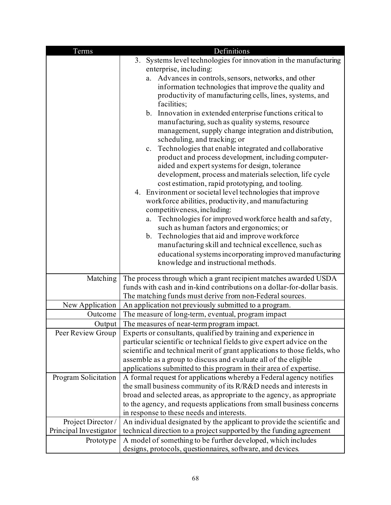| Terms                  | Definitions                                                                                                                                                                                                                                                                                                                                                                                                                                                                                                                                                                                                                                                                                                                                                                                                                                                                                                                                |  |
|------------------------|--------------------------------------------------------------------------------------------------------------------------------------------------------------------------------------------------------------------------------------------------------------------------------------------------------------------------------------------------------------------------------------------------------------------------------------------------------------------------------------------------------------------------------------------------------------------------------------------------------------------------------------------------------------------------------------------------------------------------------------------------------------------------------------------------------------------------------------------------------------------------------------------------------------------------------------------|--|
|                        | 3. Systems level technologies for innovation in the manufacturing                                                                                                                                                                                                                                                                                                                                                                                                                                                                                                                                                                                                                                                                                                                                                                                                                                                                          |  |
|                        | enterprise, including:                                                                                                                                                                                                                                                                                                                                                                                                                                                                                                                                                                                                                                                                                                                                                                                                                                                                                                                     |  |
|                        | a. Advances in controls, sensors, networks, and other                                                                                                                                                                                                                                                                                                                                                                                                                                                                                                                                                                                                                                                                                                                                                                                                                                                                                      |  |
|                        | information technologies that improve the quality and                                                                                                                                                                                                                                                                                                                                                                                                                                                                                                                                                                                                                                                                                                                                                                                                                                                                                      |  |
|                        | productivity of manufacturing cells, lines, systems, and<br>facilities;                                                                                                                                                                                                                                                                                                                                                                                                                                                                                                                                                                                                                                                                                                                                                                                                                                                                    |  |
|                        | b. Innovation in extended enterprise functions critical to<br>manufacturing, such as quality systems, resource<br>management, supply change integration and distribution,<br>scheduling, and tracking; or<br>Technologies that enable integrated and collaborative<br>c.<br>product and process development, including computer-<br>aided and expert systems for design, tolerance<br>development, process and materials selection, life cycle<br>cost estimation, rapid prototyping, and tooling.<br>4. Environment or societal level technologies that improve<br>workforce abilities, productivity, and manufacturing<br>competitiveness, including:<br>Technologies for improved workforce health and safety,<br>a.<br>such as human factors and ergonomics; or<br>b. Technologies that aid and improve workforce<br>manufacturing skill and technical excellence, such as<br>educational systems incorporating improved manufacturing |  |
|                        | knowledge and instructional methods.                                                                                                                                                                                                                                                                                                                                                                                                                                                                                                                                                                                                                                                                                                                                                                                                                                                                                                       |  |
| Matching               | The process through which a grant recipient matches awarded USDA<br>funds with cash and in-kind contributions on a dollar-for-dollar basis.                                                                                                                                                                                                                                                                                                                                                                                                                                                                                                                                                                                                                                                                                                                                                                                                |  |
|                        | The matching funds must derive from non-Federal sources.                                                                                                                                                                                                                                                                                                                                                                                                                                                                                                                                                                                                                                                                                                                                                                                                                                                                                   |  |
| New Application        | An application not previously submitted to a program.                                                                                                                                                                                                                                                                                                                                                                                                                                                                                                                                                                                                                                                                                                                                                                                                                                                                                      |  |
| Outcome                | The measure of long-term, eventual, program impact                                                                                                                                                                                                                                                                                                                                                                                                                                                                                                                                                                                                                                                                                                                                                                                                                                                                                         |  |
| Output                 | The measures of near-term program impact.                                                                                                                                                                                                                                                                                                                                                                                                                                                                                                                                                                                                                                                                                                                                                                                                                                                                                                  |  |
| Peer Review Group      | Experts or consultants, qualified by training and experience in                                                                                                                                                                                                                                                                                                                                                                                                                                                                                                                                                                                                                                                                                                                                                                                                                                                                            |  |
|                        | particular scientific or technical fields to give expert advice on the                                                                                                                                                                                                                                                                                                                                                                                                                                                                                                                                                                                                                                                                                                                                                                                                                                                                     |  |
|                        | scientific and technical merit of grant applications to those fields, who                                                                                                                                                                                                                                                                                                                                                                                                                                                                                                                                                                                                                                                                                                                                                                                                                                                                  |  |
|                        | assemble as a group to discuss and evaluate all of the eligible                                                                                                                                                                                                                                                                                                                                                                                                                                                                                                                                                                                                                                                                                                                                                                                                                                                                            |  |
|                        | applications submitted to this program in their area of expertise.                                                                                                                                                                                                                                                                                                                                                                                                                                                                                                                                                                                                                                                                                                                                                                                                                                                                         |  |
| Program Solicitation   | A formal request for applications whereby a Federal agency notifies                                                                                                                                                                                                                                                                                                                                                                                                                                                                                                                                                                                                                                                                                                                                                                                                                                                                        |  |
|                        | the small business community of its R/R&D needs and interests in                                                                                                                                                                                                                                                                                                                                                                                                                                                                                                                                                                                                                                                                                                                                                                                                                                                                           |  |
|                        | broad and selected areas, as appropriate to the agency, as appropriate                                                                                                                                                                                                                                                                                                                                                                                                                                                                                                                                                                                                                                                                                                                                                                                                                                                                     |  |
|                        | to the agency, and requests applications from small business concerns                                                                                                                                                                                                                                                                                                                                                                                                                                                                                                                                                                                                                                                                                                                                                                                                                                                                      |  |
|                        | in response to these needs and interests.                                                                                                                                                                                                                                                                                                                                                                                                                                                                                                                                                                                                                                                                                                                                                                                                                                                                                                  |  |
| Project Director/      | An individual designated by the applicant to provide the scientific and                                                                                                                                                                                                                                                                                                                                                                                                                                                                                                                                                                                                                                                                                                                                                                                                                                                                    |  |
| Principal Investigator | technical direction to a project supported by the funding agreement                                                                                                                                                                                                                                                                                                                                                                                                                                                                                                                                                                                                                                                                                                                                                                                                                                                                        |  |
| Prototype              | A model of something to be further developed, which includes                                                                                                                                                                                                                                                                                                                                                                                                                                                                                                                                                                                                                                                                                                                                                                                                                                                                               |  |
|                        | designs, protocols, questionnaires, software, and devices.                                                                                                                                                                                                                                                                                                                                                                                                                                                                                                                                                                                                                                                                                                                                                                                                                                                                                 |  |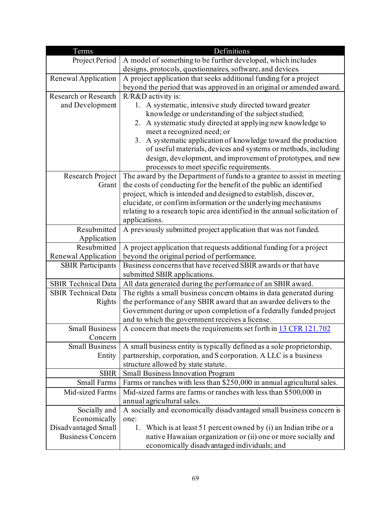| Terms                                                    | Definitions                                                                                                                               |
|----------------------------------------------------------|-------------------------------------------------------------------------------------------------------------------------------------------|
| Project Period                                           | A model of something to be further developed, which includes                                                                              |
|                                                          | designs, protocols, questionnaires, software, and devices.                                                                                |
| Renewal Application                                      | A project application that seeks additional funding for a project                                                                         |
|                                                          | beyond the period that was approved in an original or amended award.                                                                      |
| Research or Research                                     | R/R&D activity is:                                                                                                                        |
| and Development                                          | 1. A systematic, intensive study directed toward greater                                                                                  |
|                                                          | knowledge or understanding of the subject studied;                                                                                        |
|                                                          | 2. A systematic study directed at applying new knowledge to                                                                               |
|                                                          | meet a recognized need; or                                                                                                                |
|                                                          | 3. A systematic application of knowledge toward the production                                                                            |
|                                                          | of useful materials, devices and systems or methods, including                                                                            |
|                                                          | design, development, and improvement of prototypes, and new                                                                               |
|                                                          | processes to meet specific requirements.                                                                                                  |
| Research Project                                         | The award by the Department of funds to a grantee to assist in meeting                                                                    |
| Grant                                                    | the costs of conducting for the benefit of the public an identified                                                                       |
|                                                          | project, which is intended and designed to establish, discover,                                                                           |
|                                                          | elucidate, or confirm information or the underlying mechanisms                                                                            |
|                                                          | relating to a research topic area identified in the annual solicitation of                                                                |
|                                                          | applications.                                                                                                                             |
| Resubmitted                                              | A previously submitted project application that was not funded.                                                                           |
| Application                                              |                                                                                                                                           |
| Resubmitted                                              | A project application that requests additional funding for a project                                                                      |
| Renewal Application                                      | beyond the original period of performance.<br>Business concerns that have received SBIR awards or that have                               |
| <b>SBIR Participants</b>                                 |                                                                                                                                           |
|                                                          | submitted SBIR applications.                                                                                                              |
| <b>SBIR Technical Data</b><br><b>SBIR Technical Data</b> | All data generated during the performance of an SBIR award.                                                                               |
| Rights                                                   | The rights a small business concern obtains in data generated during<br>the performance of any SBIR award that an awardee delivers to the |
|                                                          |                                                                                                                                           |
|                                                          | Government during or upon completion of a federally funded project<br>and to which the government receives a license.                     |
| <b>Small Business</b>                                    | A concern that meets the requirements set forth in 13 CFR 121.702                                                                         |
| Concern                                                  |                                                                                                                                           |
| <b>Small Business</b>                                    | A small business entity is typically defined as a sole proprietorship,                                                                    |
| Entity                                                   | partnership, corporation, and S corporation. A LLC is a business                                                                          |
|                                                          | structure allowed by state statute.                                                                                                       |
| <b>SBIR</b>                                              | <b>Small Business Innovation Program</b>                                                                                                  |
| <b>Small Farms</b>                                       | Farms or ranches with less than \$250,000 in annual agricultural sales.                                                                   |
| Mid-sized Farms                                          | Mid-sized farms are farms or ranches with less than \$500,000 in                                                                          |
|                                                          | annual agricultural sales.                                                                                                                |
| Socially and                                             | A socially and economically disadvantaged small business concern is                                                                       |
| Economically                                             | one:                                                                                                                                      |
| Disadvantaged Small                                      | Which is at least 51 percent owned by (i) an Indian tribe or a<br>1.                                                                      |
| <b>Business Concern</b>                                  | native Hawaiian organization or (ii) one or more socially and                                                                             |
|                                                          | economically disadvantaged individuals; and                                                                                               |